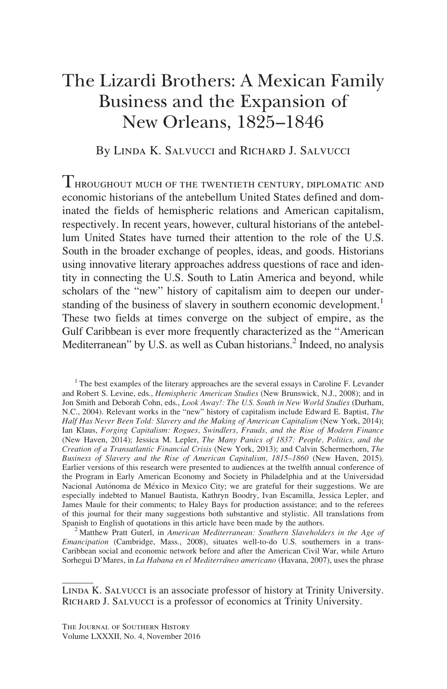# The Lizardi Brothers: A Mexican Family Business and the Expansion of New Orleans, 1825–1846

By Linda K. Salvucci and Richard J. Salvucci

 $T$ hroughout much of the twentieth century, diplomatic and economic historians of the antebellum United States defined and dominated the fields of hemispheric relations and American capitalism, respectively. In recent years, however, cultural historians of the antebellum United States have turned their attention to the role of the U.S. South in the broader exchange of peoples, ideas, and goods. Historians using innovative literary approaches address questions of race and identity in connecting the U.S. South to Latin America and beyond, while scholars of the "new" history of capitalism aim to deepen our understanding of the business of slavery in southern economic development.<sup>1</sup> These two fields at times converge on the subject of empire, as the Gulf Caribbean is ever more frequently characterized as the "American Mediterranean" by U.S. as well as Cuban historians.<sup>2</sup> Indeed, no analysis

 $<sup>1</sup>$ The best examples of the literary approaches are the several essays in Caroline F. Levander</sup> and Robert S. Levine, eds., Hemispheric American Studies (New Brunswick, N.J., 2008); and in Jon Smith and Deborah Cohn, eds., Look Away!: The U.S. South in New World Studies (Durham, N.C., 2004). Relevant works in the "new" history of capitalism include Edward E. Baptist, The Half Has Never Been Told: Slavery and the Making of American Capitalism (New York, 2014); Ian Klaus, Forging Capitalism: Rogues, Swindlers, Frauds, and the Rise of Modern Finance (New Haven, 2014); Jessica M. Lepler, The Many Panics of 1837: People, Politics, and the Creation of a Transatlantic Financial Crisis (New York, 2013); and Calvin Schermerhorn, The Business of Slavery and the Rise of American Capitalism, 1815–1860 (New Haven, 2015). Earlier versions of this research were presented to audiences at the twelfth annual conference of the Program in Early American Economy and Society in Philadelphia and at the Universidad Nacional Autónoma de México in Mexico City; we are grateful for their suggestions. We are especially indebted to Manuel Bautista, Kathryn Boodry, Ivan Escamilla, Jessica Lepler, and James Maule for their comments; to Haley Bays for production assistance; and to the referees of this journal for their many suggestions both substantive and stylistic. All translations from Spanish to English of quotations in this article have been made by the authors.<br><sup>2</sup> Matthew Pratt Guterl, in American Mediterranean: Southern Slaveholders in the Age of

Emancipation (Cambridge, Mass., 2008), situates well-to-do U.S. southerners in a trans-Caribbean social and economic network before and after the American Civil War, while Arturo Sorhegui D'Mares, in La Habana en el Mediterráneo americano (Havana, 2007), uses the phrase

Linda K. Salvucci is an associate professor of history at Trinity University. RICHARD J. SALVUCCI is a professor of economics at Trinity University.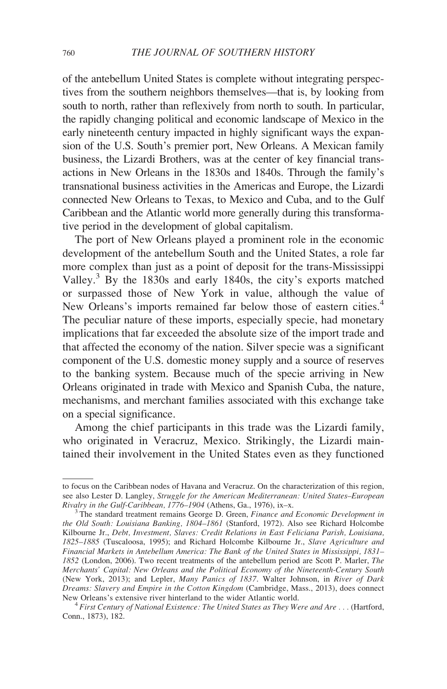of the antebellum United States is complete without integrating perspectives from the southern neighbors themselves—that is, by looking from south to north, rather than reflexively from north to south. In particular, the rapidly changing political and economic landscape of Mexico in the early nineteenth century impacted in highly significant ways the expansion of the U.S. South's premier port, New Orleans. A Mexican family business, the Lizardi Brothers, was at the center of key financial transactions in New Orleans in the 1830s and 1840s. Through the family's transnational business activities in the Americas and Europe, the Lizardi connected New Orleans to Texas, to Mexico and Cuba, and to the Gulf Caribbean and the Atlantic world more generally during this transformative period in the development of global capitalism.

The port of New Orleans played a prominent role in the economic development of the antebellum South and the United States, a role far more complex than just as a point of deposit for the trans-Mississippi Valley.<sup>3</sup> By the 1830s and early 1840s, the city's exports matched or surpassed those of New York in value, although the value of New Orleans's imports remained far below those of eastern cities.<sup>4</sup> The peculiar nature of these imports, especially specie, had monetary implications that far exceeded the absolute size of the import trade and that affected the economy of the nation. Silver specie was a significant component of the U.S. domestic money supply and a source of reserves to the banking system. Because much of the specie arriving in New Orleans originated in trade with Mexico and Spanish Cuba, the nature, mechanisms, and merchant families associated with this exchange take on a special significance.

Among the chief participants in this trade was the Lizardi family, who originated in Veracruz, Mexico. Strikingly, the Lizardi maintained their involvement in the United States even as they functioned

to focus on the Caribbean nodes of Havana and Veracruz. On the characterization of this region, see also Lester D. Langley, Struggle for the American Mediterranean: United States–European Rivalry in the Gulf-Caribbean, 1776–1904 (Athens, Ga., 1976), ix–x.<br><sup>3</sup> The standard treatment remains George D. Green, *Finance and Economic Development in* 

the Old South: Louisiana Banking, 1804–1861 (Stanford, 1972). Also see Richard Holcombe Kilbourne Jr., Debt, Investment, Slaves: Credit Relations in East Feliciana Parish, Louisiana, 1825–1885 (Tuscaloosa, 1995); and Richard Holcombe Kilbourne Jr., Slave Agriculture and Financial Markets in Antebellum America: The Bank of the United States in Mississippi, 1831– 1852 (London, 2006). Two recent treatments of the antebellum period are Scott P. Marler, The Merchants' Capital: New Orleans and the Political Economy of the Nineteenth-Century South (New York, 2013); and Lepler, Many Panics of 1837. Walter Johnson, in River of Dark Dreams: Slavery and Empire in the Cotton Kingdom (Cambridge, Mass., 2013), does connect New Orleans's extensive river hinterland to the wider Atlantic world.

 $^4$  First Century of National Existence: The United States as They Were and Are . . . (Hartford, Conn., 1873), 182.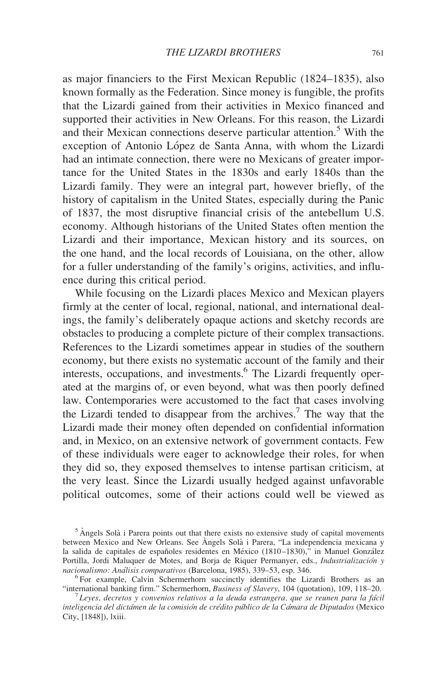as major financiers to the First Mexican Republic (1824–1835), also known formally as the Federation. Since money is fungible, the profits that the Lizardi gained from their activities in Mexico financed and supported their activities in New Orleans. For this reason, the Lizardi and their Mexican connections deserve particular attention.<sup>5</sup> With the exception of Antonio López de Santa Anna, with whom the Lizardi had an intimate connection, there were no Mexicans of greater importance for the United States in the 1830s and early 1840s than the Lizardi family. They were an integral part, however briefly, of the history of capitalism in the United States, especially during the Panic of 1837, the most disruptive financial crisis of the antebellum U.S. economy. Although historians of the United States often mention the Lizardi and their importance, Mexican history and its sources, on the one hand, and the local records of Louisiana, on the other, allow for a fuller understanding of the family's origins, activities, and influence during this critical period.

While focusing on the Lizardi places Mexico and Mexican players firmly at the center of local, regional, national, and international dealings, the family's deliberately opaque actions and sketchy records are obstacles to producing a complete picture of their complex transactions. References to the Lizardi sometimes appear in studies of the southern economy, but there exists no systematic account of the family and their interests, occupations, and investments.<sup>6</sup> The Lizardi frequently operated at the margins of, or even beyond, what was then poorly defined law. Contemporaries were accustomed to the fact that cases involving the Lizardi tended to disappear from the archives.<sup>7</sup> The way that the Lizardi made their money often depended on confidential information and, in Mexico, on an extensive network of government contacts. Few of these individuals were eager to acknowledge their roles, for when they did so, they exposed themselves to intense partisan criticism, at the very least. Since the Lizardi usually hedged against unfavorable political outcomes, some of their actions could well be viewed as

 $<sup>5</sup>$  Angels Solà i Parera points out that there exists no extensive study of capital movements</sup> between Mexico and New Orleans. See Angels Solà i Parera, "La independencia mexicana y la salida de capitales de españoles residentes en México (1810-1830)," in Manuel González Portilla, Jordi Maluquer de Motes, and Borja de Riquer Permanyer, eds., *Industrialización y nacionalismo: Análisis comparativos* (Barcelona, 1985), 339–53, esp. 346.

<sup>&</sup>lt;sup>6</sup> For example, Calvin Schermerhorn succinctly identifies the Lizardi Brothers as an "international banking firm." Schermerhorn, *Business of Slavery*, 104 (quotation), 109, 118–20.

lueyes, decretos y convenios relativos a la deuda estrangera, que se reunen para la fácil inteligencia del dictámen de la comisión de crédito público de la Cámara de Diputados (Mexico City, [1848]), lxiii.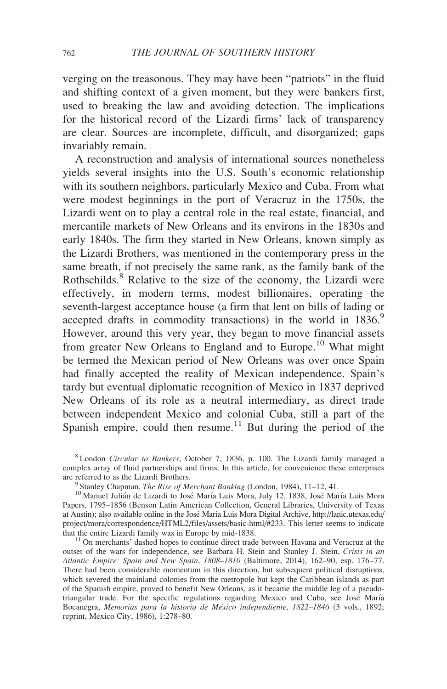verging on the treasonous. They may have been "patriots" in the fluid and shifting context of a given moment, but they were bankers first, used to breaking the law and avoiding detection. The implications for the historical record of the Lizardi firms' lack of transparency are clear. Sources are incomplete, difficult, and disorganized; gaps invariably remain.

A reconstruction and analysis of international sources nonetheless yields several insights into the U.S. South's economic relationship with its southern neighbors, particularly Mexico and Cuba. From what were modest beginnings in the port of Veracruz in the 1750s, the Lizardi went on to play a central role in the real estate, financial, and mercantile markets of New Orleans and its environs in the 1830s and early 1840s. The firm they started in New Orleans, known simply as the Lizardi Brothers, was mentioned in the contemporary press in the same breath, if not precisely the same rank, as the family bank of the Rothschilds.<sup>8</sup> Relative to the size of the economy, the Lizardi were effectively, in modern terms, modest billionaires, operating the seventh-largest acceptance house (a firm that lent on bills of lading or accepted drafts in commodity transactions) in the world in  $1836$ . However, around this very year, they began to move financial assets from greater New Orleans to England and to Europe.<sup>10</sup> What might be termed the Mexican period of New Orleans was over once Spain had finally accepted the reality of Mexican independence. Spain's tardy but eventual diplomatic recognition of Mexico in 1837 deprived New Orleans of its role as a neutral intermediary, as direct trade between independent Mexico and colonial Cuba, still a part of the Spanish empire, could then resume.<sup>11</sup> But during the period of the

<sup>8</sup> London Circular to Bankers, October 7, 1836, p. 100. The Lizardi family managed a complex array of fluid partnerships and firms. In this article, for convenience these enterprises

<sup>&</sup>lt;sup>9</sup> Stanley Chapman, *The Rise of Merchant Banking* (London, 1984), 11–12, 41. 1<sup>10</sup> Manuel Julian de Lizardi to José María Luis Mora, July 12, 1838, José María Luis Mora Papers, 1795–1856 (Benson Latin American Collection, General Libraries, University of Texas at Austin); also available online in the José María Luis Mora Digital Archive, http://lanic.utexas.edu/ project/mora/correspondence/HTML2/files/assets/basic-html/#233. This letter seems to indicate that the entire Lizardi family was in Europe by mid-1838.

 $11$  On merchants' dashed hopes to continue direct trade between Havana and Veracruz at the outset of the wars for independence, see Barbara H. Stein and Stanley J. Stein, Crisis in an Atlantic Empire: Spain and New Spain, 1808–1810 (Baltimore, 2014), 162–90, esp. 176–77. There had been considerable momentum in this direction, but subsequent political disruptions, which severed the mainland colonies from the metropole but kept the Caribbean islands as part of the Spanish empire, proved to benefit New Orleans, as it became the middle leg of a pseudotriangular trade. For the specific regulations regarding Mexico and Cuba, see José María Bocanegra, Memorias para la historia de México independiente, 1822-1846 (3 vols., 1892; reprint, Mexico City, 1986), 1:278–80.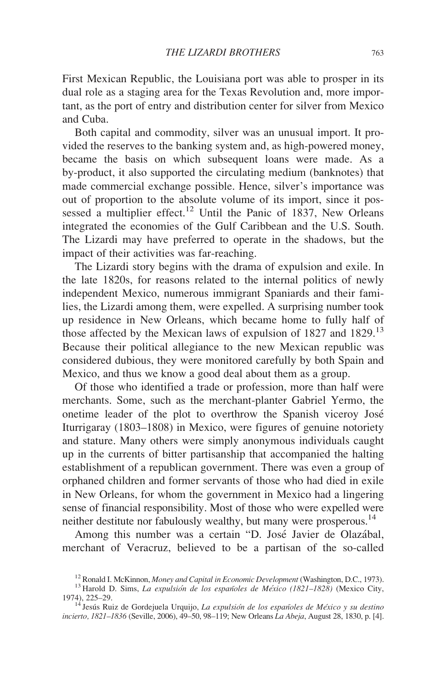First Mexican Republic, the Louisiana port was able to prosper in its dual role as a staging area for the Texas Revolution and, more important, as the port of entry and distribution center for silver from Mexico and Cuba.

Both capital and commodity, silver was an unusual import. It provided the reserves to the banking system and, as high-powered money, became the basis on which subsequent loans were made. As a by-product, it also supported the circulating medium (banknotes) that made commercial exchange possible. Hence, silver's importance was out of proportion to the absolute volume of its import, since it possessed a multiplier effect.<sup>12</sup> Until the Panic of 1837, New Orleans integrated the economies of the Gulf Caribbean and the U.S. South. The Lizardi may have preferred to operate in the shadows, but the impact of their activities was far-reaching.

The Lizardi story begins with the drama of expulsion and exile. In the late 1820s, for reasons related to the internal politics of newly independent Mexico, numerous immigrant Spaniards and their families, the Lizardi among them, were expelled. A surprising number took up residence in New Orleans, which became home to fully half of those affected by the Mexican laws of expulsion of 1827 and 1829.<sup>13</sup> Because their political allegiance to the new Mexican republic was considered dubious, they were monitored carefully by both Spain and Mexico, and thus we know a good deal about them as a group.

Of those who identified a trade or profession, more than half were merchants. Some, such as the merchant-planter Gabriel Yermo, the onetime leader of the plot to overthrow the Spanish viceroy Jose´ Iturrigaray (1803–1808) in Mexico, were figures of genuine notoriety and stature. Many others were simply anonymous individuals caught up in the currents of bitter partisanship that accompanied the halting establishment of a republican government. There was even a group of orphaned children and former servants of those who had died in exile in New Orleans, for whom the government in Mexico had a lingering sense of financial responsibility. Most of those who were expelled were neither destitute nor fabulously wealthy, but many were prosperous.<sup>14</sup>

Among this number was a certain "D. José Javier de Olazábal, merchant of Veracruz, believed to be a partisan of the so-called

<sup>&</sup>lt;sup>12</sup> Ronald I. McKinnon, *Money and Capital in Economic Development* (Washington, D.C., 1973). <sup>13</sup> Harold D. Sims, *La expulsión de los españoles de México (1821–1828)* (Mexico City, 1974). 225–29.

 $14$ <sup>14</sup> Jesús Ruiz de Gordejuela Urquijo, La expulsión de los españoles de México y su destino incierto, 1821-1836 (Seville, 2006), 49-50, 98-119; New Orleans La Abeja, August 28, 1830, p. [4].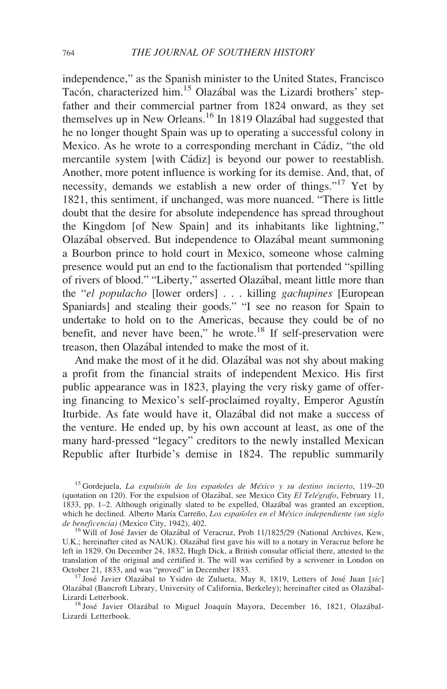independence," as the Spanish minister to the United States, Francisco Tacón, characterized him.<sup>15</sup> Olazábal was the Lizardi brothers' stepfather and their commercial partner from 1824 onward, as they set themselves up in New Orleans.<sup>16</sup> In 1819 Olazábal had suggested that he no longer thought Spain was up to operating a successful colony in Mexico. As he wrote to a corresponding merchant in Cádiz, "the old mercantile system [with Cádiz] is beyond our power to reestablish. Another, more potent influence is working for its demise. And, that, of necessity, demands we establish a new order of things."<sup>17</sup> Yet by 1821, this sentiment, if unchanged, was more nuanced. "There is little doubt that the desire for absolute independence has spread throughout the Kingdom [of New Spain] and its inhabitants like lightning," Olaza´bal observed. But independence to Olaza´bal meant summoning a Bourbon prince to hold court in Mexico, someone whose calming presence would put an end to the factionalism that portended "spilling of rivers of blood." "Liberty," asserted Olazábal, meant little more than the "el populacho [lower orders] . . . killing gachupines [European Spaniards] and stealing their goods." "I see no reason for Spain to undertake to hold on to the Americas, because they could be of no benefit, and never have been," he wrote.<sup>18</sup> If self-preservation were treason, then Olazábal intended to make the most of it.

And make the most of it he did. Olaza<sup>bal</sup> was not shy about making a profit from the financial straits of independent Mexico. His first public appearance was in 1823, playing the very risky game of offering financing to Mexico's self-proclaimed royalty, Emperor Agustín Iturbide. As fate would have it, Olazábal did not make a success of the venture. He ended up, by his own account at least, as one of the many hard-pressed "legacy" creditors to the newly installed Mexican Republic after Iturbide's demise in 1824. The republic summarily

<sup>&</sup>lt;sup>15</sup> Gordejuela, La expulsión de los españoles de México y su destino incierto, 119–20 (quotation on 120). For the expulsion of Olazábal, see Mexico City El Telégrafo, February 11, 1833, pp. 1–2. Although originally slated to be expelled, Olazábal was granted an exception, which he declined. Alberto María Carreño, Los españoles en el México independiente (un siglo de beneficencia) (Mexico City, 1942), 402.

<sup>&</sup>lt;sup>16</sup> Will of José Javier de Olazábal of Veracruz, Prob 11/1825/29 (National Archives, Kew, U.K.; hereinafter cited as NAUK). Olazábal first gave his will to a notary in Veracruz before he left in 1829. On December 24, 1832, Hugh Dick, a British consular official there, attested to the translation of the original and certified it. The will was certified by a scrivener in London on October 21, 1833, and was "proved" in December 1833.

<sup>&</sup>lt;sup>17</sup> José Javier Olazábal to Ysidro de Zulueta, May 8, 1819, Letters of José Juan [sic] Olazábal (Bancroft Library, University of California, Berkeley); hereinafter cited as Olazábal-Lizardi Letterbook.

<sup>&</sup>lt;sup>18</sup> José Javier Olazábal to Miguel Joaquín Mayora, December 16, 1821, Olazábal-Lizardi Letterbook.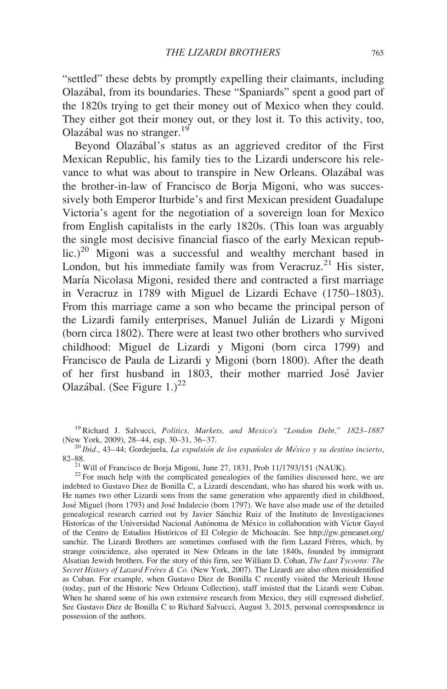"settled" these debts by promptly expelling their claimants, including Olaza´bal, from its boundaries. These "Spaniards" spent a good part of the 1820s trying to get their money out of Mexico when they could. They either got their money out, or they lost it. To this activity, too, Olazábal was no stranger.<sup>19</sup>

Beyond Olazábal's status as an aggrieved creditor of the First Mexican Republic, his family ties to the Lizardi underscore his relevance to what was about to transpire in New Orleans. Olazábal was the brother-in-law of Francisco de Borja Migoni, who was successively both Emperor Iturbide's and first Mexican president Guadalupe Victoria's agent for the negotiation of a sovereign loan for Mexico from English capitalists in the early 1820s. (This loan was arguably the single most decisive financial fiasco of the early Mexican repub $lic.)^{20}$  Migoni was a successful and wealthy merchant based in London, but his immediate family was from Veracruz.<sup>21</sup> His sister, María Nicolasa Migoni, resided there and contracted a first marriage in Veracruz in 1789 with Miguel de Lizardi Echave (1750–1803). From this marriage came a son who became the principal person of the Lizardi family enterprises, Manuel Julián de Lizardi y Migoni (born circa 1802). There were at least two other brothers who survived childhood: Miguel de Lizardi y Migoni (born circa 1799) and Francisco de Paula de Lizardi y Migoni (born 1800). After the death of her first husband in 1803, their mother married Jose´ Javier Olazábal. (See Figure 1.)<sup>22</sup>

<sup>&</sup>lt;sup>19</sup> Richard J. Salvucci, *Politics, Markets, and Mexico's "London Debt,"*  $1823-1887$  (New York, 2009), 28-44, esp. 30-31, 36-37.

 $^{20}$ Ibid., 43–44; Gordejuela, La expulsión de los españoles de México y su destino incierto,

 $\frac{21}{10}$  Will of Francisco de Borja Migoni, June 27, 1831, Prob 11/1793/151 (NAUK).<br><sup>22</sup> For much help with the complicated genealogies of the families discussed here, we are indebted to Gustavo Diez de Bonilla C, a Lizardi descendant, who has shared his work with us. He names two other Lizardi sons from the same generation who apparently died in childhood, Jose´ Miguel (born 1793) and Jose´ Indalecio (born 1797). We have also made use of the detailed genealogical research carried out by Javier Sánchiz Ruiz of the Instituto de Investigaciones Historícas of the Universidad Nacional Autónoma de México in collaboration with Víctor Gayol of the Centro de Estudios Históricos of El Colegio de Michoacán. See http://gw.geneanet.org/ sanchiz. The Lizardi Brothers are sometimes confused with the firm Lazard Frères, which, by strange coincidence, also operated in New Orleans in the late 1840s, founded by immigrant Alsatian Jewish brothers. For the story of this firm, see William D. Cohan, The Last Tycoons: The Secret History of Lazard Frères & Co. (New York, 2007). The Lizardi are also often misidentified as Cuban. For example, when Gustavo Diez de Bonilla C recently visited the Merieult House (today, part of the Historic New Orleans Collection), staff insisted that the Lizardi were Cuban. When he shared some of his own extensive research from Mexico, they still expressed disbelief. See Gustavo Diez de Bonilla C to Richard Salvucci, August 3, 2015, personal correspondence in possession of the authors.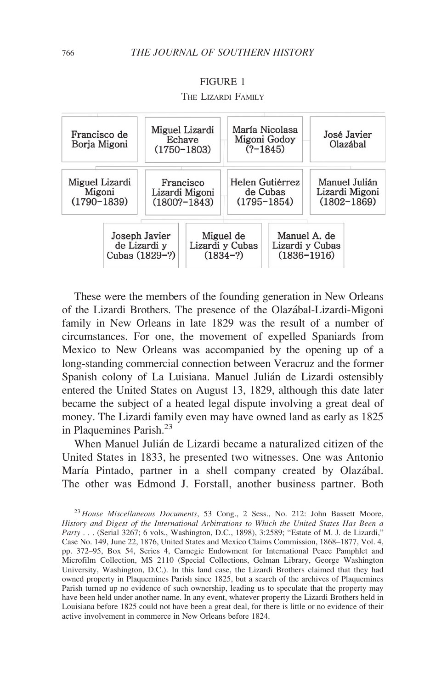#### FIGURE 1



THE LIZARDI FAMILY

These were the members of the founding generation in New Orleans of the Lizardi Brothers. The presence of the Olaza´bal-Lizardi-Migoni family in New Orleans in late 1829 was the result of a number of circumstances. For one, the movement of expelled Spaniards from Mexico to New Orleans was accompanied by the opening up of a long-standing commercial connection between Veracruz and the former Spanish colony of La Luisiana. Manuel Julián de Lizardi ostensibly entered the United States on August 13, 1829, although this date later became the subject of a heated legal dispute involving a great deal of money. The Lizardi family even may have owned land as early as 1825 in Plaquemines Parish.23

When Manuel Julián de Lizardi became a naturalized citizen of the United States in 1833, he presented two witnesses. One was Antonio María Pintado, partner in a shell company created by Olazábal. The other was Edmond J. Forstall, another business partner. Both

<sup>&</sup>lt;sup>23</sup> House Miscellaneous Documents, 53 Cong., 2 Sess., No. 212: John Bassett Moore, History and Digest of the International Arbitrations to Which the United States Has Been a Party . . . (Serial 3267; 6 vols., Washington, D.C., 1898), 3:2589; "Estate of M. J. de Lizardi," Case No. 149, June 22, 1876, United States and Mexico Claims Commission, 1868–1877, Vol. 4, pp. 372–95, Box 54, Series 4, Carnegie Endowment for International Peace Pamphlet and Microfilm Collection, MS 2110 (Special Collections, Gelman Library, George Washington University, Washington, D.C.). In this land case, the Lizardi Brothers claimed that they had owned property in Plaquemines Parish since 1825, but a search of the archives of Plaquemines Parish turned up no evidence of such ownership, leading us to speculate that the property may have been held under another name. In any event, whatever property the Lizardi Brothers held in Louisiana before 1825 could not have been a great deal, for there is little or no evidence of their active involvement in commerce in New Orleans before 1824.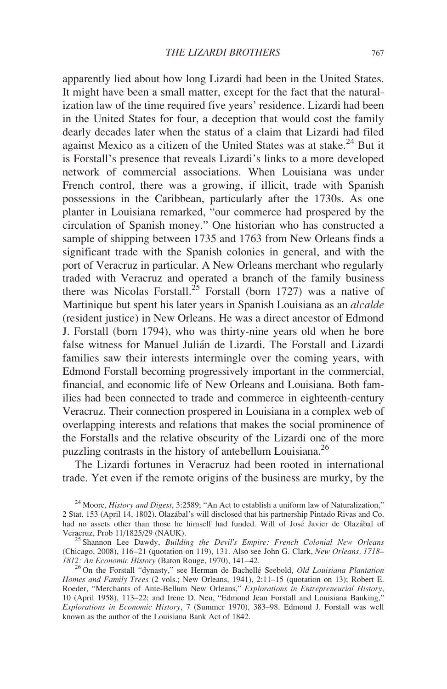apparently lied about how long Lizardi had been in the United States. It might have been a small matter, except for the fact that the naturalization law of the time required five years' residence. Lizardi had been in the United States for four, a deception that would cost the family dearly decades later when the status of a claim that Lizardi had filed against Mexico as a citizen of the United States was at stake.<sup>24</sup> But it is Forstall's presence that reveals Lizardi's links to a more developed network of commercial associations. When Louisiana was under French control, there was a growing, if illicit, trade with Spanish possessions in the Caribbean, particularly after the 1730s. As one planter in Louisiana remarked, "our commerce had prospered by the circulation of Spanish money." One historian who has constructed a sample of shipping between 1735 and 1763 from New Orleans finds a significant trade with the Spanish colonies in general, and with the port of Veracruz in particular. A New Orleans merchant who regularly traded with Veracruz and operated a branch of the family business there was Nicolas Forstall.<sup>25</sup> Forstall (born 1727) was a native of Martinique but spent his later years in Spanish Louisiana as an alcalde (resident justice) in New Orleans. He was a direct ancestor of Edmond J. Forstall (born 1794), who was thirty-nine years old when he bore false witness for Manuel Julián de Lizardi. The Forstall and Lizardi families saw their interests intermingle over the coming years, with Edmond Forstall becoming progressively important in the commercial, financial, and economic life of New Orleans and Louisiana. Both families had been connected to trade and commerce in eighteenth-century Veracruz. Their connection prospered in Louisiana in a complex web of overlapping interests and relations that makes the social prominence of the Forstalls and the relative obscurity of the Lizardi one of the more puzzling contrasts in the history of antebellum Louisiana.<sup>26</sup>

The Lizardi fortunes in Veracruz had been rooted in international trade. Yet even if the remote origins of the business are murky, by the

 $24$  Moore, History and Digest, 3:2589; "An Act to establish a uniform law of Naturalization," 2 Stat. 153 (April 14, 1802). Olaza´bal's will disclosed that his partnership Pintado Rivas and Co. had no assets other than those he himself had funded. Will of José Javier de Olazábal of Veracruz, Prob 11/1825/29 (NAUK).<br><sup>25</sup> Shannon Lee Dawdy, *Building the Devil's Empire: French Colonial New Orleans* 

<sup>(</sup>Chicago, 2008), 116–21 (quotation on 119), 131. Also see John G. Clark, New Orleans, 1718–1812: An Economic History (Baton Rouge, 1970), 141–42.

 $\frac{26}{26}$  On the Forstall "dynasty," see Herman de Bachellé Seebold, Old Louisiana Plantation Homes and Family Trees (2 vols.; New Orleans, 1941), 2:11–15 (quotation on 13); Robert E. Roeder, "Merchants of Ante-Bellum New Orleans," Explorations in Entrepreneurial History, 10 (April 1958), 113–22; and Irene D. Neu, "Edmond Jean Forstall and Louisiana Banking," Explorations in Economic History, 7 (Summer 1970), 383–98. Edmond J. Forstall was well known as the author of the Louisiana Bank Act of 1842.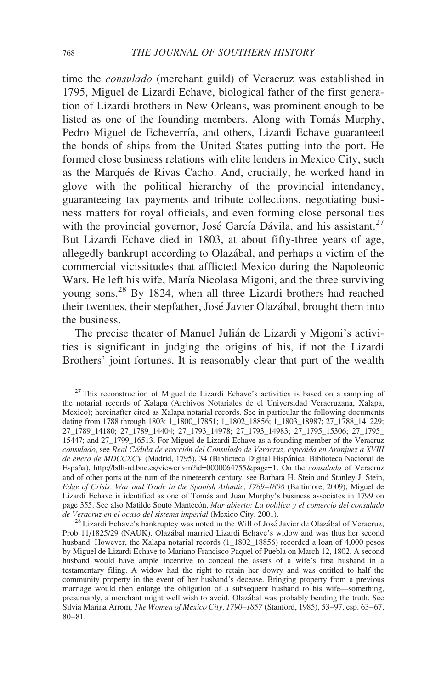time the consulado (merchant guild) of Veracruz was established in 1795, Miguel de Lizardi Echave, biological father of the first generation of Lizardi brothers in New Orleans, was prominent enough to be listed as one of the founding members. Along with Tomás Murphy, Pedro Miguel de Echeverría, and others, Lizardi Echave guaranteed the bonds of ships from the United States putting into the port. He formed close business relations with elite lenders in Mexico City, such as the Marqués de Rivas Cacho. And, crucially, he worked hand in glove with the political hierarchy of the provincial intendancy, guaranteeing tax payments and tribute collections, negotiating business matters for royal officials, and even forming close personal ties with the provincial governor, José García Dávila, and his assistant.<sup>27</sup> But Lizardi Echave died in 1803, at about fifty-three years of age, allegedly bankrupt according to Olaza´bal, and perhaps a victim of the commercial vicissitudes that afflicted Mexico during the Napoleonic Wars. He left his wife, María Nicolasa Migoni, and the three surviving young sons.28 By 1824, when all three Lizardi brothers had reached their twenties, their stepfather, José Javier Olazábal, brought them into the business.

The precise theater of Manuel Julián de Lizardi y Migoni's activities is significant in judging the origins of his, if not the Lizardi Brothers' joint fortunes. It is reasonably clear that part of the wealth

<sup>&</sup>lt;sup>27</sup> This reconstruction of Miguel de Lizardi Echave's activities is based on a sampling of the notarial records of Xalapa (Archivos Notariales de el Universidad Veracruzana, Xalapa, Mexico); hereinafter cited as Xalapa notarial records. See in particular the following documents dating from 1788 through 1803: 1\_1800\_17851; 1\_1802\_18856; 1\_1803\_18987; 27\_1788\_141229; 27\_1789\_14180; 27\_1789\_14404; 27\_1793\_14978; 27\_1793\_14983; 27\_1795\_15306; 27\_1795\_ 15447; and 27\_1799\_16513. For Miguel de Lizardi Echave as a founding member of the Veracruz consulado, see Real Cédula de erección del Consulado de Veracruz, expedida en Aranjuez a XVIII de enero de MDCCXCV (Madrid, 1795), 34 (Biblioteca Digital Hispánica, Biblioteca Nacional de España), http://bdh-rd.bne.es/viewer.vm?id=0000064755&page=1. On the *consulado* of Veracruz and of other ports at the turn of the nineteenth century, see Barbara H. Stein and Stanley J. Stein, Edge of Crisis: War and Trade in the Spanish Atlantic, 1789–1808 (Baltimore, 2009); Miguel de Lizardi Echave is identified as one of Tomás and Juan Murphy's business associates in 1799 on page 355. See also Matilde Souto Mantecón, Mar abierto: La política y el comercio del consulado de Veracruz en el ocaso del sistema imperial (Mexico City, 2001).

<sup>&</sup>lt;sup>28</sup> Lizardi Echave's bankruptcy was noted in the Will of José Javier de Olazábal of Veracruz, Prob 11/1825/29 (NAUK). Olazábal married Lizardi Echave's widow and was thus her second husband. However, the Xalapa notarial records (1 1802 18856) recorded a loan of 4,000 pesos by Miguel de Lizardi Echave to Mariano Francisco Paquel of Puebla on March 12, 1802. A second husband would have ample incentive to conceal the assets of a wife's first husband in a testamentary filing. A widow had the right to retain her dowry and was entitled to half the community property in the event of her husband's decease. Bringing property from a previous marriage would then enlarge the obligation of a subsequent husband to his wife—something, presumably, a merchant might well wish to avoid. Olazábal was probably bending the truth. See Silvia Marina Arrom, The Women of Mexico City, 1790–1857 (Stanford, 1985), 53–97, esp. 63–67, 80–81.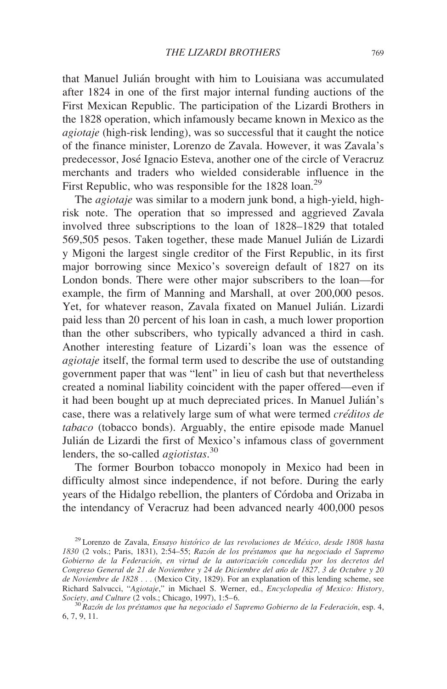that Manuel Julián brought with him to Louisiana was accumulated after 1824 in one of the first major internal funding auctions of the First Mexican Republic. The participation of the Lizardi Brothers in the 1828 operation, which infamously became known in Mexico as the agiotaje (high-risk lending), was so successful that it caught the notice of the finance minister, Lorenzo de Zavala. However, it was Zavala's predecessor, Jose´ Ignacio Esteva, another one of the circle of Veracruz merchants and traders who wielded considerable influence in the First Republic, who was responsible for the 1828 loan.<sup>29</sup>

The agiotaje was similar to a modern junk bond, a high-yield, highrisk note. The operation that so impressed and aggrieved Zavala involved three subscriptions to the loan of 1828–1829 that totaled 569,505 pesos. Taken together, these made Manuel Julián de Lizardi y Migoni the largest single creditor of the First Republic, in its first major borrowing since Mexico's sovereign default of 1827 on its London bonds. There were other major subscribers to the loan—for example, the firm of Manning and Marshall, at over 200,000 pesos. Yet, for whatever reason, Zavala fixated on Manuel Julián. Lizardi paid less than 20 percent of his loan in cash, a much lower proportion than the other subscribers, who typically advanced a third in cash. Another interesting feature of Lizardi's loan was the essence of agiotaje itself, the formal term used to describe the use of outstanding government paper that was "lent" in lieu of cash but that nevertheless created a nominal liability coincident with the paper offered—even if it had been bought up at much depreciated prices. In Manuel Julián's case, there was a relatively large sum of what were termed *créditos de* tabaco (tobacco bonds). Arguably, the entire episode made Manuel Julián de Lizardi the first of Mexico's infamous class of government lenders, the so-called *agiotistas*.<sup>30</sup>

The former Bourbon tobacco monopoly in Mexico had been in difficulty almost since independence, if not before. During the early years of the Hidalgo rebellion, the planters of Córdoba and Orizaba in the intendancy of Veracruz had been advanced nearly 400,000 pesos

 $^{29}$  Lorenzo de Zavala, *Ensayo histórico de las revoluciones de México, desde 1808 hasta* 1830 (2 vols.; Paris, 1831), 2:54-55; Razón de los préstamos que ha negociado el Supremo Gobierno de la Federación, en virtud de la autorización concedida por los decretos del Congreso General de 21 de Noviembre y 24 de Diciembre del año de 1827, 3 de Octubre y 20 de Noviembre de 1828 . . . (Mexico City, 1829). For an explanation of this lending scheme, see Richard Salvucci, "Agiotaje," in Michael S. Werner, ed., Encyclopedia of Mexico: History, Society, and Culture (2 vols.; Chicago, 1997), 1:5-6.

 $^{30}$ Razón de los préstamos que ha negociado el Supremo Gobierno de la Federación, esp. 4, 6, 7, 9, 11.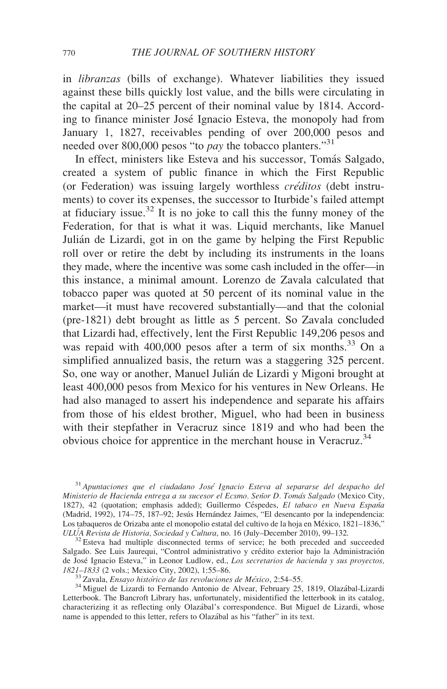in libranzas (bills of exchange). Whatever liabilities they issued against these bills quickly lost value, and the bills were circulating in the capital at 20–25 percent of their nominal value by 1814. According to finance minister Jose´ Ignacio Esteva, the monopoly had from January 1, 1827, receivables pending of over 200,000 pesos and needed over 800,000 pesos "to *pay* the tobacco planters."<sup>31</sup>

In effect, ministers like Esteva and his successor, Tomás Salgado, created a system of public finance in which the First Republic (or Federation) was issuing largely worthless *créditos* (debt instruments) to cover its expenses, the successor to Iturbide's failed attempt at fiduciary issue.<sup>32</sup> It is no joke to call this the funny money of the Federation, for that is what it was. Liquid merchants, like Manuel Julián de Lizardi, got in on the game by helping the First Republic roll over or retire the debt by including its instruments in the loans they made, where the incentive was some cash included in the offer—in this instance, a minimal amount. Lorenzo de Zavala calculated that tobacco paper was quoted at 50 percent of its nominal value in the market—it must have recovered substantially—and that the colonial (pre-1821) debt brought as little as 5 percent. So Zavala concluded that Lizardi had, effectively, lent the First Republic 149,206 pesos and was repaid with 400,000 pesos after a term of six months.<sup>33</sup> On a simplified annualized basis, the return was a staggering 325 percent. So, one way or another, Manuel Julián de Lizardi y Migoni brought at least 400,000 pesos from Mexico for his ventures in New Orleans. He had also managed to assert his independence and separate his affairs from those of his eldest brother, Miguel, who had been in business with their stepfather in Veracruz since 1819 and who had been the obvious choice for apprentice in the merchant house in Veracruz.<sup>34</sup>

<sup>&</sup>lt;sup>31</sup> Apuntaciones que el ciudadano José Ignacio Esteva al separarse del despacho del Ministerio de Hacienda entrega a su sucesor el Ecsmo. Señor D. Tomás Salgado (Mexico City, 1827), 42 (quotation; emphasis added); Guillermo Céspedes, El tabaco en Nueva España (Madrid, 1992), 174–75, 187–92; Jesús Hernández Jaimes, "El desencanto por la independencia: Los tabaqueros de Orizaba ante el monopolio estatal del cultivo de la hoja en México, 1821–1836,"<br>ULUA Revista de Historia, Sociedad y Cultura, no. 16 (July–December 2010), 99–132.

 $32$  Esteva had multiple disconnected terms of service; he both preceded and succeeded Salgado. See Luis Jaurequi, "Control administrativo y crédito exterior bajo la Administración de José Ignacio Esteva," in Leonor Ludlow, ed., Los secretarios de hacienda y sus proyectos, 1821–1833 (2 vols.; Mexico City, 2002), 1:55–86.

<sup>&</sup>lt;sup>33</sup> Zavala, *Ensayo histórico de las revoluciones de México*, 2:54–55. <sup>34</sup> Miguel de Lizardi to Fernando Antonio de Alvear, February 25, 1819, Olazábal-Lizardi Letterbook. The Bancroft Library has, unfortunately, misidentified the letterbook in its catalog, characterizing it as reflecting only Olazábal's correspondence. But Miguel de Lizardi, whose name is appended to this letter, refers to Olazábal as his "father" in its text.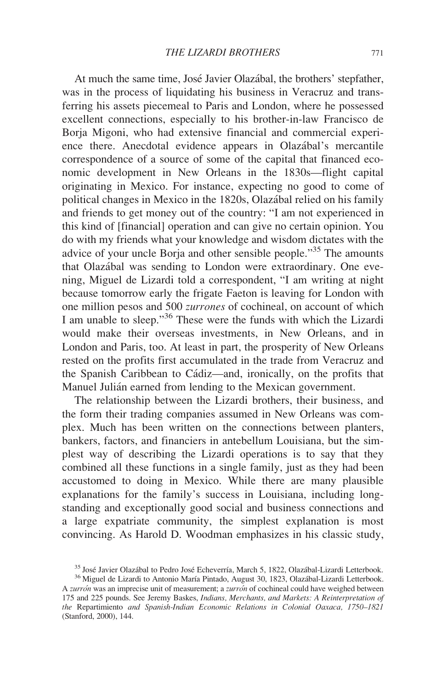At much the same time, José Javier Olazábal, the brothers' stepfather, was in the process of liquidating his business in Veracruz and transferring his assets piecemeal to Paris and London, where he possessed excellent connections, especially to his brother-in-law Francisco de Borja Migoni, who had extensive financial and commercial experience there. Anecdotal evidence appears in Olaza´bal's mercantile correspondence of a source of some of the capital that financed economic development in New Orleans in the 1830s—flight capital originating in Mexico. For instance, expecting no good to come of political changes in Mexico in the 1820s, Olazábal relied on his family and friends to get money out of the country: "I am not experienced in this kind of [financial] operation and can give no certain opinion. You do with my friends what your knowledge and wisdom dictates with the advice of your uncle Borja and other sensible people."<sup>35</sup> The amounts that Olazábal was sending to London were extraordinary. One evening, Miguel de Lizardi told a correspondent, "I am writing at night because tomorrow early the frigate Faeton is leaving for London with one million pesos and 500 zurrones of cochineal, on account of which I am unable to sleep."<sup>36</sup> These were the funds with which the Lizardi would make their overseas investments, in New Orleans, and in London and Paris, too. At least in part, the prosperity of New Orleans rested on the profits first accumulated in the trade from Veracruz and the Spanish Caribbean to Cádiz—and, ironically, on the profits that Manuel Julián earned from lending to the Mexican government.

The relationship between the Lizardi brothers, their business, and the form their trading companies assumed in New Orleans was complex. Much has been written on the connections between planters, bankers, factors, and financiers in antebellum Louisiana, but the simplest way of describing the Lizardi operations is to say that they combined all these functions in a single family, just as they had been accustomed to doing in Mexico. While there are many plausible explanations for the family's success in Louisiana, including longstanding and exceptionally good social and business connections and a large expatriate community, the simplest explanation is most convincing. As Harold D. Woodman emphasizes in his classic study,

<sup>&</sup>lt;sup>35</sup> José Javier Olazábal to Pedro José Echeverría, March 5, 1822, Olazábal-Lizardi Letterbook. <sup>36</sup> Miguel de Lizardi to Antonio María Pintado, August 30, 1823, Olazábal-Lizardi Letterbook.

A zurrón was an imprecise unit of measurement; a zurrón of cochineal could have weighed between 175 and 225 pounds. See Jeremy Baskes, Indians, Merchants, and Markets: A Reinterpretation of the Repartimiento and Spanish-Indian Economic Relations in Colonial Oaxaca, 1750–1821 (Stanford, 2000), 144.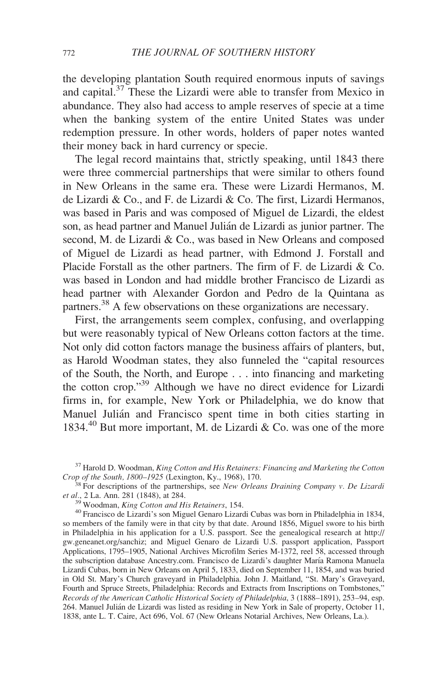the developing plantation South required enormous inputs of savings and capital.37 These the Lizardi were able to transfer from Mexico in abundance. They also had access to ample reserves of specie at a time when the banking system of the entire United States was under redemption pressure. In other words, holders of paper notes wanted their money back in hard currency or specie.

The legal record maintains that, strictly speaking, until 1843 there were three commercial partnerships that were similar to others found in New Orleans in the same era. These were Lizardi Hermanos, M. de Lizardi & Co., and F. de Lizardi & Co. The first, Lizardi Hermanos, was based in Paris and was composed of Miguel de Lizardi, the eldest son, as head partner and Manuel Julián de Lizardi as junior partner. The second, M. de Lizardi & Co., was based in New Orleans and composed of Miguel de Lizardi as head partner, with Edmond J. Forstall and Placide Forstall as the other partners. The firm of F. de Lizardi & Co. was based in London and had middle brother Francisco de Lizardi as head partner with Alexander Gordon and Pedro de la Quintana as partners.<sup>38</sup> A few observations on these organizations are necessary.

First, the arrangements seem complex, confusing, and overlapping but were reasonably typical of New Orleans cotton factors at the time. Not only did cotton factors manage the business affairs of planters, but, as Harold Woodman states, they also funneled the "capital resources of the South, the North, and Europe . . . into financing and marketing the cotton crop."39 Although we have no direct evidence for Lizardi firms in, for example, New York or Philadelphia, we do know that Manuel Julián and Francisco spent time in both cities starting in 1834.<sup>40</sup> But more important, M. de Lizardi & Co. was one of the more

 $37$  Harold D. Woodman, King Cotton and His Retainers: Financing and Marketing the Cotton Crop of the South, 1800–1925 (Lexington, Ky., 1968), 170.

 $\overline{S}^3$  For descriptions of the partnerships, see New Orleans Draining Company v. De Lizardi et al., 2 La. Ann. 281 (1848), at 284.<br><sup>39</sup> Woodman, *King Cotton and His Retainers*, 154.

<sup>&</sup>lt;sup>40</sup> Francisco de Lizardi's son Miguel Genaro Lizardi Cubas was born in Philadelphia in 1834, so members of the family were in that city by that date. Around 1856, Miguel swore to his birth in Philadelphia in his application for a U.S. passport. See the genealogical research at http:// gw.geneanet.org/sanchiz; and Miguel Genaro de Lizardi U.S. passport application, Passport Applications, 1795–1905, National Archives Microfilm Series M-1372, reel 58, accessed through the subscription database Ancestry.com. Francisco de Lizardi's daughter María Ramona Manuela Lizardi Cubas, born in New Orleans on April 5, 1833, died on September 11, 1854, and was buried in Old St. Mary's Church graveyard in Philadelphia. John J. Maitland, "St. Mary's Graveyard, Fourth and Spruce Streets, Philadelphia: Records and Extracts from Inscriptions on Tombstones," Records of the American Catholic Historical Society of Philadelphia, 3 (1888–1891), 253–94, esp. 264. Manuel Julián de Lizardi was listed as residing in New York in Sale of property, October 11, 1838, ante L. T. Caire, Act 696, Vol. 67 (New Orleans Notarial Archives, New Orleans, La.).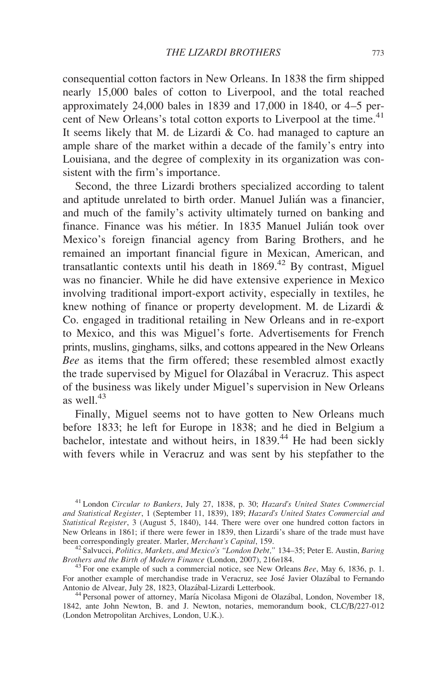consequential cotton factors in New Orleans. In 1838 the firm shipped nearly 15,000 bales of cotton to Liverpool, and the total reached approximately 24,000 bales in 1839 and 17,000 in 1840, or 4–5 percent of New Orleans's total cotton exports to Liverpool at the time.<sup>41</sup> It seems likely that M. de Lizardi & Co. had managed to capture an ample share of the market within a decade of the family's entry into Louisiana, and the degree of complexity in its organization was consistent with the firm's importance.

Second, the three Lizardi brothers specialized according to talent and aptitude unrelated to birth order. Manuel Julián was a financier, and much of the family's activity ultimately turned on banking and finance. Finance was his métier. In 1835 Manuel Julián took over Mexico's foreign financial agency from Baring Brothers, and he remained an important financial figure in Mexican, American, and transatlantic contexts until his death in  $1869<sup>42</sup>$  By contrast, Miguel was no financier. While he did have extensive experience in Mexico involving traditional import-export activity, especially in textiles, he knew nothing of finance or property development. M. de Lizardi & Co. engaged in traditional retailing in New Orleans and in re-export to Mexico, and this was Miguel's forte. Advertisements for French prints, muslins, ginghams, silks, and cottons appeared in the New Orleans Bee as items that the firm offered; these resembled almost exactly the trade supervised by Miguel for Olazábal in Veracruz. This aspect of the business was likely under Miguel's supervision in New Orleans as well. $43$ 

Finally, Miguel seems not to have gotten to New Orleans much before 1833; he left for Europe in 1838; and he died in Belgium a bachelor, intestate and without heirs, in 1839.<sup>44</sup> He had been sickly with fevers while in Veracruz and was sent by his stepfather to the

<sup>&</sup>lt;sup>41</sup> London Circular to Bankers, July 27, 1838, p. 30; Hazard's United States Commercial and Statistical Register, 1 (September 11, 1839), 189; Hazard's United States Commercial and Statistical Register, 3 (August 5, 1840), 144. There were over one hundred cotton factors in New Orleans in 1861; if there were fewer in 1839, then Lizardi's share of the trade must have been correspondingly greater. Marler, *Merchant's Capital*, 159.

<sup>&</sup>lt;sup>42</sup> Salvucci, Politics, Markets, and Mexico's "London Debt," 134–35; Peter E. Austin, Baring Brothers and the Birth of Modern Finance (London, 2007), 216n184.

 $^{43}$  For one example of such a commercial notice, see New Orleans Bee, May 6, 1836, p. 1. For another example of merchandise trade in Veracruz, see José Javier Olazábal to Fernando<br>Antonio de Alvear, July 28, 1823, Olazábal-Lizardi Letterbook.

<sup>&</sup>lt;sup>44</sup> Personal power of attorney, María Nicolasa Migoni de Olazábal, London, November 18, 1842, ante John Newton, B. and J. Newton, notaries, memorandum book, CLC/B/227-012 (London Metropolitan Archives, London, U.K.).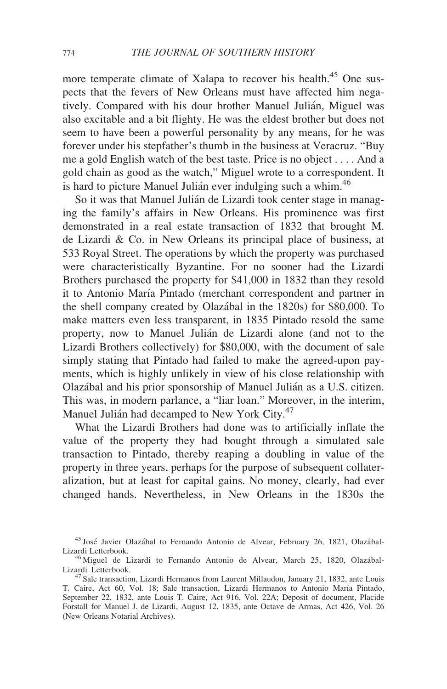more temperate climate of Xalapa to recover his health.<sup>45</sup> One suspects that the fevers of New Orleans must have affected him negatively. Compared with his dour brother Manuel Julián, Miguel was also excitable and a bit flighty. He was the eldest brother but does not seem to have been a powerful personality by any means, for he was forever under his stepfather's thumb in the business at Veracruz. "Buy me a gold English watch of the best taste. Price is no object . . . . And a gold chain as good as the watch," Miguel wrote to a correspondent. It is hard to picture Manuel Julián ever indulging such a whim.<sup>46</sup>

So it was that Manuel Julián de Lizardi took center stage in managing the family's affairs in New Orleans. His prominence was first demonstrated in a real estate transaction of 1832 that brought M. de Lizardi & Co. in New Orleans its principal place of business, at 533 Royal Street. The operations by which the property was purchased were characteristically Byzantine. For no sooner had the Lizardi Brothers purchased the property for \$41,000 in 1832 than they resold it to Antonio María Pintado (merchant correspondent and partner in the shell company created by Olaza´bal in the 1820s) for \$80,000. To make matters even less transparent, in 1835 Pintado resold the same property, now to Manuel Julián de Lizardi alone (and not to the Lizardi Brothers collectively) for \$80,000, with the document of sale simply stating that Pintado had failed to make the agreed-upon payments, which is highly unlikely in view of his close relationship with Olazábal and his prior sponsorship of Manuel Julián as a U.S. citizen. This was, in modern parlance, a "liar loan." Moreover, in the interim, Manuel Julián had decamped to New York City.<sup>47</sup>

What the Lizardi Brothers had done was to artificially inflate the value of the property they had bought through a simulated sale transaction to Pintado, thereby reaping a doubling in value of the property in three years, perhaps for the purpose of subsequent collateralization, but at least for capital gains. No money, clearly, had ever changed hands. Nevertheless, in New Orleans in the 1830s the

<sup>&</sup>lt;sup>45</sup> José Javier Olazábal to Fernando Antonio de Alvear, February 26, 1821, Olazábal-<br>Lizardi Letterbook.

<sup>&</sup>lt;sup>46</sup> Miguel de Lizardi to Fernando Antonio de Alvear, March 25, 1820, Olazábal-Lizardi Letterbook.

<sup>&</sup>lt;sup>7</sup> Sale transaction, Lizardi Hermanos from Laurent Millaudon, January 21, 1832, ante Louis T. Caire, Act 60, Vol. 18; Sale transaction, Lizardi Hermanos to Antonio María Pintado, September 22, 1832, ante Louis T. Caire, Act 916, Vol. 22A; Deposit of document, Placide Forstall for Manuel J. de Lizardi, August 12, 1835, ante Octave de Armas, Act 426, Vol. 26 (New Orleans Notarial Archives).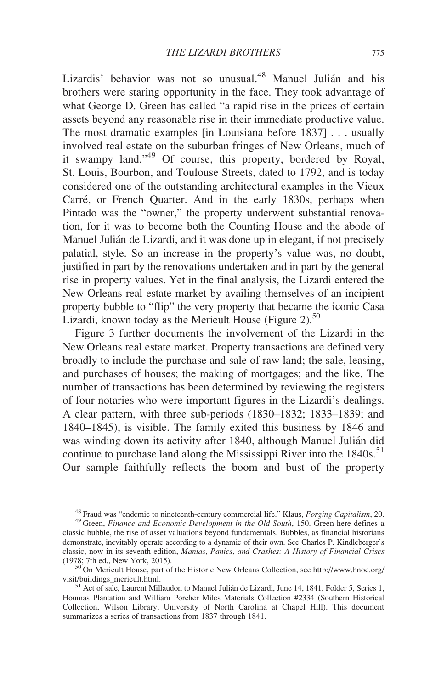Lizardis' behavior was not so unusual.<sup>48</sup> Manuel Julián and his brothers were staring opportunity in the face. They took advantage of what George D. Green has called "a rapid rise in the prices of certain assets beyond any reasonable rise in their immediate productive value. The most dramatic examples [in Louisiana before 1837] . . . usually involved real estate on the suburban fringes of New Orleans, much of it swampy land."<sup>49</sup> Of course, this property, bordered by Royal, St. Louis, Bourbon, and Toulouse Streets, dated to 1792, and is today considered one of the outstanding architectural examples in the Vieux Carré, or French Quarter. And in the early 1830s, perhaps when Pintado was the "owner," the property underwent substantial renovation, for it was to become both the Counting House and the abode of Manuel Julián de Lizardi, and it was done up in elegant, if not precisely palatial, style. So an increase in the property's value was, no doubt, justified in part by the renovations undertaken and in part by the general rise in property values. Yet in the final analysis, the Lizardi entered the New Orleans real estate market by availing themselves of an incipient property bubble to "flip" the very property that became the iconic Casa Lizardi, known today as the Merieult House (Figure 2). $50$ 

Figure 3 further documents the involvement of the Lizardi in the New Orleans real estate market. Property transactions are defined very broadly to include the purchase and sale of raw land; the sale, leasing, and purchases of houses; the making of mortgages; and the like. The number of transactions has been determined by reviewing the registers of four notaries who were important figures in the Lizardi's dealings. A clear pattern, with three sub-periods (1830–1832; 1833–1839; and 1840–1845), is visible. The family exited this business by 1846 and was winding down its activity after 1840, although Manuel Julián did continue to purchase land along the Mississippi River into the  $1840s$ <sup>51</sup> Our sample faithfully reflects the boom and bust of the property

 $^{50}$ On Merieult House, part of the Historic New Orleans Collection, see http://www.hnoc.org/<br>visit/buildings\_merieult.html.

 $^{51}$  Act of sale, Laurent Millaudon to Manuel Julián de Lizardi, June 14, 1841, Folder 5, Series 1, Houmas Plantation and William Porcher Miles Materials Collection #2334 (Southern Historical Collection, Wilson Library, University of North Carolina at Chapel Hill). This document summarizes a series of transactions from 1837 through 1841.

<sup>&</sup>lt;sup>48</sup> Fraud was "endemic to nineteenth-century commercial life." Klaus, *Forging Capitalism*, 20.  $49$  Green, *Finance and Economic Development in the Old South*, 150. Green here defines a classic bubble, the rise of asset valuations beyond fundamentals. Bubbles, as financial historians demonstrate, inevitably operate according to a dynamic of their own. See Charles P. Kindleberger's classic, now in its seventh edition, *Manias, Panics, and Crashes: A History of Financial Crises* (1978; 7th ed., New York, 2015).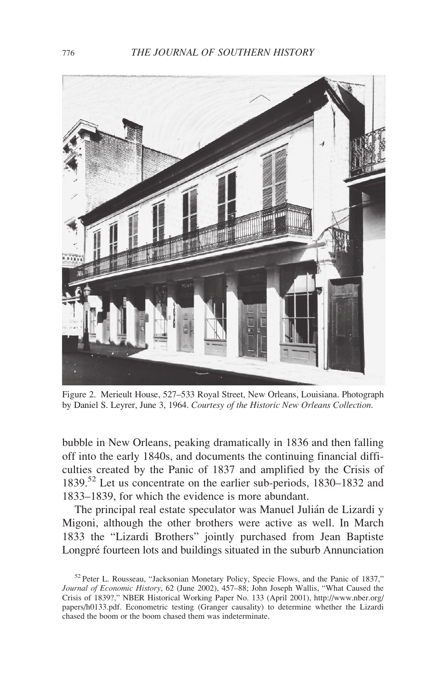

Figure 2. Merieult House, 527–533 Royal Street, New Orleans, Louisiana. Photograph by Daniel S. Leyrer, June 3, 1964. Courtesy of the Historic New Orleans Collection.

bubble in New Orleans, peaking dramatically in 1836 and then falling off into the early 1840s, and documents the continuing financial difficulties created by the Panic of 1837 and amplified by the Crisis of 1839.<sup>52</sup> Let us concentrate on the earlier sub-periods, 1830–1832 and 1833–1839, for which the evidence is more abundant.

The principal real estate speculator was Manuel Julián de Lizardi y Migoni, although the other brothers were active as well. In March 1833 the "Lizardi Brothers" jointly purchased from Jean Baptiste Longpré fourteen lots and buildings situated in the suburb Annunciation

<sup>52</sup> Peter L. Rousseau, "Jacksonian Monetary Policy, Specie Flows, and the Panic of 1837," Journal of Economic History, 62 (June 2002), 457–88; John Joseph Wallis, "What Caused the Crisis of 1839?," NBER Historical Working Paper No. 133 (April 2001), http://www.nber.org/ papers/h0133.pdf. Econometric testing (Granger causality) to determine whether the Lizardi chased the boom or the boom chased them was indeterminate.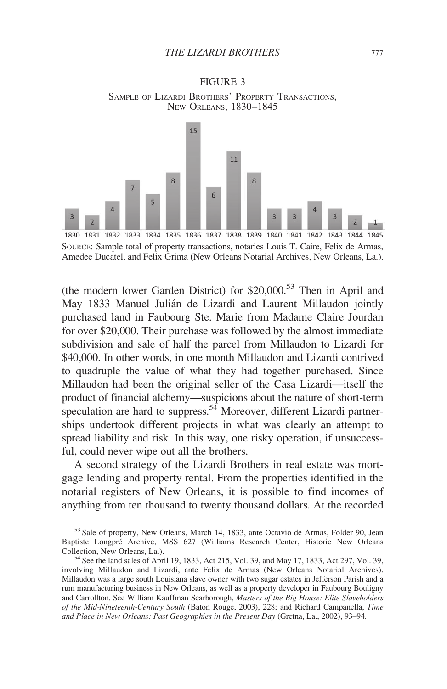

### FIGURE 3 SAMPLE OF LIZARDI BROTHERS' PROPERTY TRANSACTIONS, NEW ORLEANS, 1830–1845

SOURCE: Sample total of property transactions, notaries Louis T. Caire, Felix de Armas, Amedee Ducatel, and Felix Grima (New Orleans Notarial Archives, New Orleans, La.).

(the modern lower Garden District) for  $$20,000$ <sup>53</sup> Then in April and May 1833 Manuel Julián de Lizardi and Laurent Millaudon jointly purchased land in Faubourg Ste. Marie from Madame Claire Jourdan for over \$20,000. Their purchase was followed by the almost immediate subdivision and sale of half the parcel from Millaudon to Lizardi for \$40,000. In other words, in one month Millaudon and Lizardi contrived to quadruple the value of what they had together purchased. Since Millaudon had been the original seller of the Casa Lizardi—itself the product of financial alchemy—suspicions about the nature of short-term speculation are hard to suppress.<sup>54</sup> Moreover, different Lizardi partnerships undertook different projects in what was clearly an attempt to spread liability and risk. In this way, one risky operation, if unsuccessful, could never wipe out all the brothers.

A second strategy of the Lizardi Brothers in real estate was mortgage lending and property rental. From the properties identified in the notarial registers of New Orleans, it is possible to find incomes of anything from ten thousand to twenty thousand dollars. At the recorded

<sup>53</sup> Sale of property, New Orleans, March 14, 1833, ante Octavio de Armas, Folder 90, Jean Baptiste Longpré Archive, MSS 627 (Williams Research Center, Historic New Orleans Collection. New Orleans. La.).

 $54$  See the land sales of April 19, 1833, Act 215, Vol. 39, and May 17, 1833, Act 297, Vol. 39, involving Millaudon and Lizardi, ante Felix de Armas (New Orleans Notarial Archives). Millaudon was a large south Louisiana slave owner with two sugar estates in Jefferson Parish and a rum manufacturing business in New Orleans, as well as a property developer in Faubourg Bouligny and Carrollton. See William Kauffman Scarborough, Masters of the Big House: Elite Slaveholders of the Mid-Nineteenth-Century South (Baton Rouge, 2003), 228; and Richard Campanella, Time and Place in New Orleans: Past Geographies in the Present Day (Gretna, La., 2002), 93–94.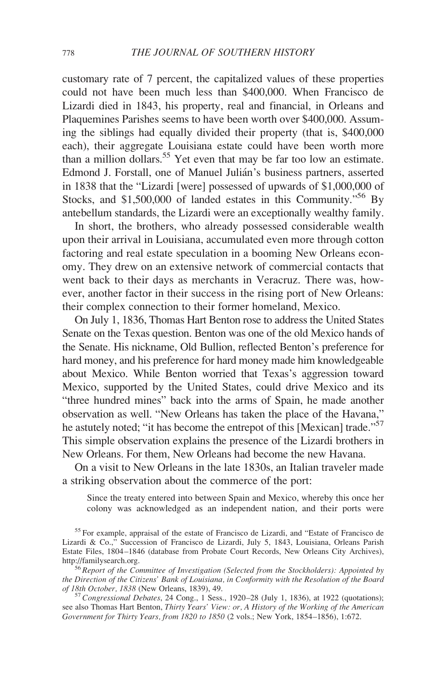customary rate of 7 percent, the capitalized values of these properties could not have been much less than \$400,000. When Francisco de Lizardi died in 1843, his property, real and financial, in Orleans and Plaquemines Parishes seems to have been worth over \$400,000. Assuming the siblings had equally divided their property (that is, \$400,000 each), their aggregate Louisiana estate could have been worth more than a million dollars.55 Yet even that may be far too low an estimate. Edmond J. Forstall, one of Manuel Julián's business partners, asserted in 1838 that the "Lizardi [were] possessed of upwards of \$1,000,000 of Stocks, and \$1,500,000 of landed estates in this Community."56 By antebellum standards, the Lizardi were an exceptionally wealthy family.

In short, the brothers, who already possessed considerable wealth upon their arrival in Louisiana, accumulated even more through cotton factoring and real estate speculation in a booming New Orleans economy. They drew on an extensive network of commercial contacts that went back to their days as merchants in Veracruz. There was, however, another factor in their success in the rising port of New Orleans: their complex connection to their former homeland, Mexico.

On July 1, 1836, Thomas Hart Benton rose to address the United States Senate on the Texas question. Benton was one of the old Mexico hands of the Senate. His nickname, Old Bullion, reflected Benton's preference for hard money, and his preference for hard money made him knowledgeable about Mexico. While Benton worried that Texas's aggression toward Mexico, supported by the United States, could drive Mexico and its "three hundred mines" back into the arms of Spain, he made another observation as well. "New Orleans has taken the place of the Havana," he astutely noted; "it has become the entrepot of this [Mexican] trade."<sup>57</sup> This simple observation explains the presence of the Lizardi brothers in New Orleans. For them, New Orleans had become the new Havana.

On a visit to New Orleans in the late 1830s, an Italian traveler made a striking observation about the commerce of the port:

Since the treaty entered into between Spain and Mexico, whereby this once her colony was acknowledged as an independent nation, and their ports were

<sup>55</sup> For example, appraisal of the estate of Francisco de Lizardi, and "Estate of Francisco de Lizardi & Co.," Succession of Francisco de Lizardi, July 5, 1843, Louisiana, Orleans Parish Estate Files, 1804–1846 (database from Probate Court Records, New Orleans City Archives),

 $56$  Report of the Committee of Investigation (Selected from the Stockholders): Appointed by the Direction of the Citizens' Bank of Louisiana, in Conformity with the Resolution of the Board<br>of 18th October, 1838 (New Orleans, 1839), 49.

 $^{57}$  Congressional Debates, 24 Cong., 1 Sess., 1920–28 (July 1, 1836), at 1922 (quotations); see also Thomas Hart Benton, Thirty Years' View: or, A History of the Working of the American Government for Thirty Years, from 1820 to 1850 (2 vols.; New York, 1854–1856), 1:672.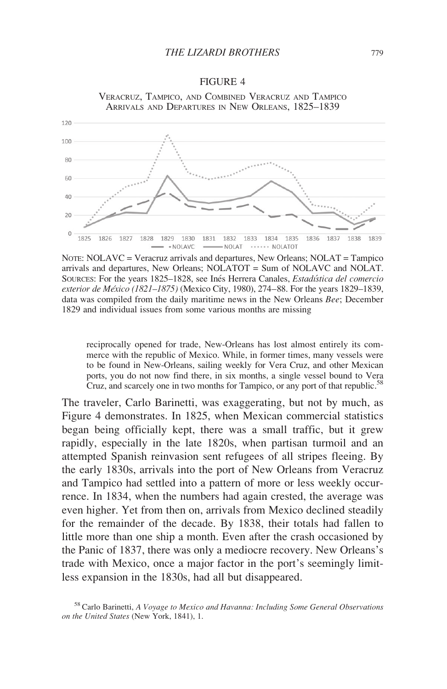FIGURE 4



# VERACRUZ, TAMPICO, AND COMBINED VERACRUZ AND TAMPICO

NOTE: NOLAVC = Veracruz arrivals and departures, New Orleans; NOLAT = Tampico arrivals and departures, New Orleans; NOLATOT = Sum of NOLAVC and NOLAT. SOURCES: For the years 1825–1828, see Inés Herrera Canales, *Estadística del comercio* exterior de México (1821–1875) (Mexico City, 1980), 274–88. For the years 1829–1839, data was compiled from the daily maritime news in the New Orleans Bee; December 1829 and individual issues from some various months are missing

reciprocally opened for trade, New-Orleans has lost almost entirely its commerce with the republic of Mexico. While, in former times, many vessels were to be found in New-Orleans, sailing weekly for Vera Cruz, and other Mexican ports, you do not now find there, in six months, a single vessel bound to Vera Cruz, and scarcely one in two months for Tampico, or any port of that republic.<sup>58</sup>

The traveler, Carlo Barinetti, was exaggerating, but not by much, as Figure 4 demonstrates. In 1825, when Mexican commercial statistics began being officially kept, there was a small traffic, but it grew rapidly, especially in the late 1820s, when partisan turmoil and an attempted Spanish reinvasion sent refugees of all stripes fleeing. By the early 1830s, arrivals into the port of New Orleans from Veracruz and Tampico had settled into a pattern of more or less weekly occurrence. In 1834, when the numbers had again crested, the average was even higher. Yet from then on, arrivals from Mexico declined steadily for the remainder of the decade. By 1838, their totals had fallen to little more than one ship a month. Even after the crash occasioned by the Panic of 1837, there was only a mediocre recovery. New Orleans's trade with Mexico, once a major factor in the port's seemingly limitless expansion in the 1830s, had all but disappeared.

<sup>58</sup> Carlo Barinetti, A Voyage to Mexico and Havanna: Including Some General Observations on the United States (New York, 1841), 1.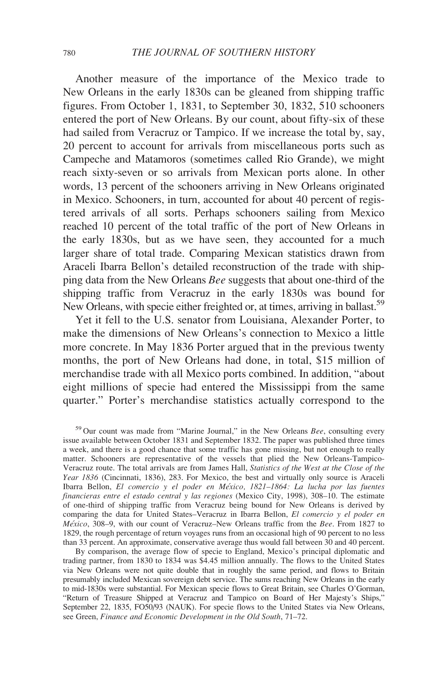Another measure of the importance of the Mexico trade to New Orleans in the early 1830s can be gleaned from shipping traffic figures. From October 1, 1831, to September 30, 1832, 510 schooners entered the port of New Orleans. By our count, about fifty-six of these had sailed from Veracruz or Tampico. If we increase the total by, say, 20 percent to account for arrivals from miscellaneous ports such as Campeche and Matamoros (sometimes called Rio Grande), we might reach sixty-seven or so arrivals from Mexican ports alone. In other words, 13 percent of the schooners arriving in New Orleans originated in Mexico. Schooners, in turn, accounted for about 40 percent of registered arrivals of all sorts. Perhaps schooners sailing from Mexico reached 10 percent of the total traffic of the port of New Orleans in the early 1830s, but as we have seen, they accounted for a much larger share of total trade. Comparing Mexican statistics drawn from Araceli Ibarra Bellon's detailed reconstruction of the trade with shipping data from the New Orleans Bee suggests that about one-third of the shipping traffic from Veracruz in the early 1830s was bound for New Orleans, with specie either freighted or, at times, arriving in ballast.<sup>59</sup>

Yet it fell to the U.S. senator from Louisiana, Alexander Porter, to make the dimensions of New Orleans's connection to Mexico a little more concrete. In May 1836 Porter argued that in the previous twenty months, the port of New Orleans had done, in total, \$15 million of merchandise trade with all Mexico ports combined. In addition, "about eight millions of specie had entered the Mississippi from the same quarter." Porter's merchandise statistics actually correspond to the

 $59$  Our count was made from "Marine Journal," in the New Orleans Bee, consulting every issue available between October 1831 and September 1832. The paper was published three times a week, and there is a good chance that some traffic has gone missing, but not enough to really matter. Schooners are representative of the vessels that plied the New Orleans-Tampico-Veracruz route. The total arrivals are from James Hall, Statistics of the West at the Close of the Year 1836 (Cincinnati, 1836), 283. For Mexico, the best and virtually only source is Araceli Ibarra Bellon, El comercio y el poder en Me´xico, 1821–1864: La lucha por las fuentes financieras entre el estado central y las regiones (Mexico City, 1998), 308–10. The estimate of one-third of shipping traffic from Veracruz being bound for New Orleans is derived by comparing the data for United States–Veracruz in Ibarra Bellon, El comercio y el poder en México, 308-9, with our count of Veracruz–New Orleans traffic from the Bee. From 1827 to 1829, the rough percentage of return voyages runs from an occasional high of 90 percent to no less than 33 percent. An approximate, conservative average thus would fall between 30 and 40 percent.

By comparison, the average flow of specie to England, Mexico's principal diplomatic and trading partner, from 1830 to 1834 was \$4.45 million annually. The flows to the United States via New Orleans were not quite double that in roughly the same period, and flows to Britain presumably included Mexican sovereign debt service. The sums reaching New Orleans in the early to mid-1830s were substantial. For Mexican specie flows to Great Britain, see Charles O'Gorman, "Return of Treasure Shipped at Veracruz and Tampico on Board of Her Majesty's Ships," September 22, 1835, FO50/93 (NAUK). For specie flows to the United States via New Orleans, see Green, Finance and Economic Development in the Old South, 71–72.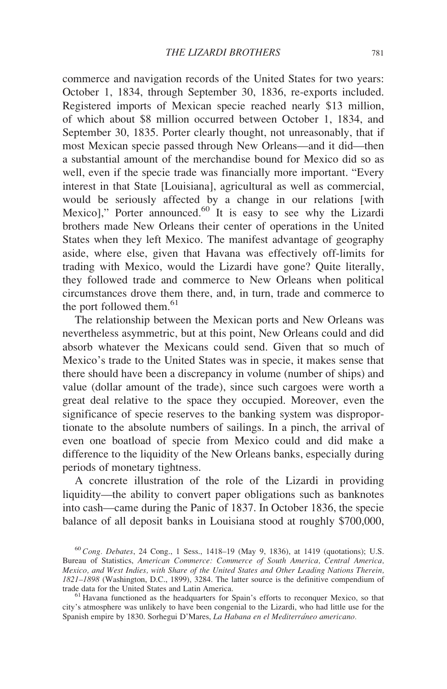commerce and navigation records of the United States for two years: October 1, 1834, through September 30, 1836, re-exports included. Registered imports of Mexican specie reached nearly \$13 million, of which about \$8 million occurred between October 1, 1834, and September 30, 1835. Porter clearly thought, not unreasonably, that if most Mexican specie passed through New Orleans—and it did—then a substantial amount of the merchandise bound for Mexico did so as well, even if the specie trade was financially more important. "Every interest in that State [Louisiana], agricultural as well as commercial, would be seriously affected by a change in our relations [with Mexico]," Porter announced.<sup>60</sup> It is easy to see why the Lizardi brothers made New Orleans their center of operations in the United States when they left Mexico. The manifest advantage of geography aside, where else, given that Havana was effectively off-limits for trading with Mexico, would the Lizardi have gone? Quite literally, they followed trade and commerce to New Orleans when political circumstances drove them there, and, in turn, trade and commerce to the port followed them. $61$ 

The relationship between the Mexican ports and New Orleans was nevertheless asymmetric, but at this point, New Orleans could and did absorb whatever the Mexicans could send. Given that so much of Mexico's trade to the United States was in specie, it makes sense that there should have been a discrepancy in volume (number of ships) and value (dollar amount of the trade), since such cargoes were worth a great deal relative to the space they occupied. Moreover, even the significance of specie reserves to the banking system was disproportionate to the absolute numbers of sailings. In a pinch, the arrival of even one boatload of specie from Mexico could and did make a difference to the liquidity of the New Orleans banks, especially during periods of monetary tightness.

A concrete illustration of the role of the Lizardi in providing liquidity—the ability to convert paper obligations such as banknotes into cash—came during the Panic of 1837. In October 1836, the specie balance of all deposit banks in Louisiana stood at roughly \$700,000,

 $^{60}$  Cong. Debates, 24 Cong., 1 Sess., 1418–19 (May 9, 1836), at 1419 (quotations); U.S. Bureau of Statistics, American Commerce: Commerce of South America, Central America, Mexico, and West Indies, with Share of the United States and Other Leading Nations Therein, 1821–1898 (Washington, D.C., 1899), 3284. The latter source is the definitive compendium of

 $61$  Havana functioned as the headquarters for Spain's efforts to reconquer Mexico, so that city's atmosphere was unlikely to have been congenial to the Lizardi, who had little use for the Spanish empire by 1830. Sorhegui D'Mares, La Habana en el Mediterráneo americano.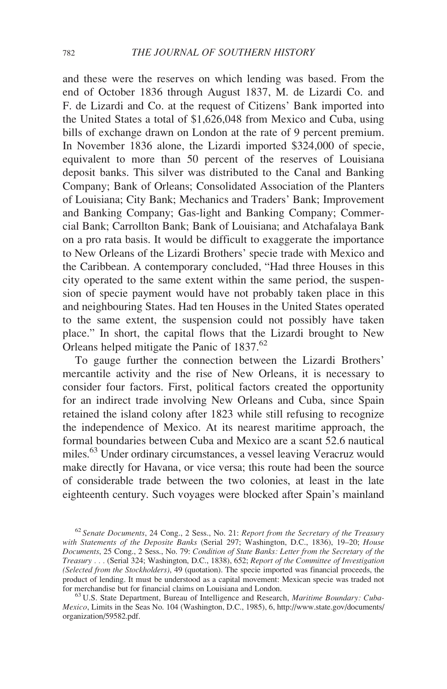and these were the reserves on which lending was based. From the end of October 1836 through August 1837, M. de Lizardi Co. and F. de Lizardi and Co. at the request of Citizens' Bank imported into the United States a total of \$1,626,048 from Mexico and Cuba, using bills of exchange drawn on London at the rate of 9 percent premium. In November 1836 alone, the Lizardi imported \$324,000 of specie, equivalent to more than 50 percent of the reserves of Louisiana deposit banks. This silver was distributed to the Canal and Banking Company; Bank of Orleans; Consolidated Association of the Planters of Louisiana; City Bank; Mechanics and Traders' Bank; Improvement and Banking Company; Gas-light and Banking Company; Commercial Bank; Carrollton Bank; Bank of Louisiana; and Atchafalaya Bank on a pro rata basis. It would be difficult to exaggerate the importance to New Orleans of the Lizardi Brothers' specie trade with Mexico and the Caribbean. A contemporary concluded, "Had three Houses in this city operated to the same extent within the same period, the suspension of specie payment would have not probably taken place in this and neighbouring States. Had ten Houses in the United States operated to the same extent, the suspension could not possibly have taken place." In short, the capital flows that the Lizardi brought to New Orleans helped mitigate the Panic of 1837.<sup>62</sup>

To gauge further the connection between the Lizardi Brothers' mercantile activity and the rise of New Orleans, it is necessary to consider four factors. First, political factors created the opportunity for an indirect trade involving New Orleans and Cuba, since Spain retained the island colony after 1823 while still refusing to recognize the independence of Mexico. At its nearest maritime approach, the formal boundaries between Cuba and Mexico are a scant 52.6 nautical miles.<sup>63</sup> Under ordinary circumstances, a vessel leaving Veracruz would make directly for Havana, or vice versa; this route had been the source of considerable trade between the two colonies, at least in the late eighteenth century. Such voyages were blocked after Spain's mainland

 $62$  Senate Documents, 24 Cong., 2 Sess., No. 21: Report from the Secretary of the Treasury with Statements of the Deposite Banks (Serial 297; Washington, D.C., 1836), 19-20; House Documents, 25 Cong., 2 Sess., No. 79: Condition of State Banks: Letter from the Secretary of the Treasury . . . (Serial 324; Washington, D.C., 1838), 652; Report of the Committee of Investigation (Selected from the Stockholders), 49 (quotation). The specie imported was financial proceeds, the product of lending. It must be understood as a capital movement: Mexican specie was traded not

 $^{63}$  U.S. State Department, Bureau of Intelligence and Research, *Maritime Boundary: Cuba*-Mexico, Limits in the Seas No. 104 (Washington, D.C., 1985), 6, http://www.state.gov/documents/ organization/59582.pdf.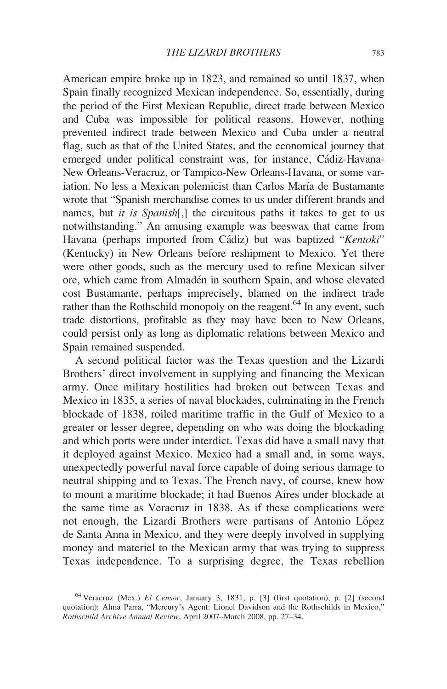American empire broke up in 1823, and remained so until 1837, when Spain finally recognized Mexican independence. So, essentially, during the period of the First Mexican Republic, direct trade between Mexico and Cuba was impossible for political reasons. However, nothing prevented indirect trade between Mexico and Cuba under a neutral flag, such as that of the United States, and the economical journey that emerged under political constraint was, for instance, Cádiz-Havana-New Orleans-Veracruz, or Tampico-New Orleans-Havana, or some variation. No less a Mexican polemicist than Carlos María de Bustamante wrote that "Spanish merchandise comes to us under different brands and names, but *it is Spanish*[,] the circuitous paths it takes to get to us notwithstanding." An amusing example was beeswax that came from Havana (perhaps imported from Cádiz) but was baptized "Kentoki" (Kentucky) in New Orleans before reshipment to Mexico. Yet there were other goods, such as the mercury used to refine Mexican silver ore, which came from Almadén in southern Spain, and whose elevated cost Bustamante, perhaps imprecisely, blamed on the indirect trade rather than the Rothschild monopoly on the reagent.<sup>64</sup> In any event, such trade distortions, profitable as they may have been to New Orleans, could persist only as long as diplomatic relations between Mexico and Spain remained suspended.

A second political factor was the Texas question and the Lizardi Brothers' direct involvement in supplying and financing the Mexican army. Once military hostilities had broken out between Texas and Mexico in 1835, a series of naval blockades, culminating in the French blockade of 1838, roiled maritime traffic in the Gulf of Mexico to a greater or lesser degree, depending on who was doing the blockading and which ports were under interdict. Texas did have a small navy that it deployed against Mexico. Mexico had a small and, in some ways, unexpectedly powerful naval force capable of doing serious damage to neutral shipping and to Texas. The French navy, of course, knew how to mount a maritime blockade; it had Buenos Aires under blockade at the same time as Veracruz in 1838. As if these complications were not enough, the Lizardi Brothers were partisans of Antonio López de Santa Anna in Mexico, and they were deeply involved in supplying money and materiel to the Mexican army that was trying to suppress Texas independence. To a surprising degree, the Texas rebellion

<sup>64</sup> Veracruz (Mex.) El Censor, January 3, 1831, p. [3] (first quotation), p. [2] (second quotation); Alma Parra, "Mercury's Agent: Lionel Davidson and the Rothschilds in Mexico," Rothschild Archive Annual Review, April 2007–March 2008, pp. 27–34.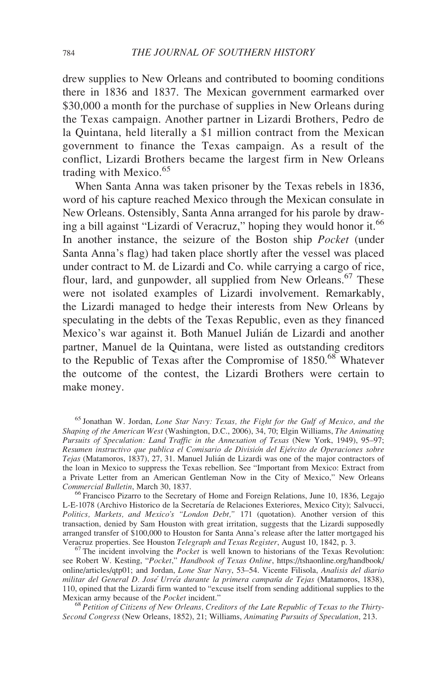drew supplies to New Orleans and contributed to booming conditions there in 1836 and 1837. The Mexican government earmarked over \$30,000 a month for the purchase of supplies in New Orleans during the Texas campaign. Another partner in Lizardi Brothers, Pedro de la Quintana, held literally a \$1 million contract from the Mexican government to finance the Texas campaign. As a result of the conflict, Lizardi Brothers became the largest firm in New Orleans trading with Mexico. $65$ 

When Santa Anna was taken prisoner by the Texas rebels in 1836, word of his capture reached Mexico through the Mexican consulate in New Orleans. Ostensibly, Santa Anna arranged for his parole by drawing a bill against "Lizardi of Veracruz," hoping they would honor it.<sup>66</sup> In another instance, the seizure of the Boston ship Pocket (under Santa Anna's flag) had taken place shortly after the vessel was placed under contract to M. de Lizardi and Co. while carrying a cargo of rice, flour, lard, and gunpowder, all supplied from New Orleans.<sup>67</sup> These were not isolated examples of Lizardi involvement. Remarkably, the Lizardi managed to hedge their interests from New Orleans by speculating in the debts of the Texas Republic, even as they financed Mexico's war against it. Both Manuel Julián de Lizardi and another partner, Manuel de la Quintana, were listed as outstanding creditors to the Republic of Texas after the Compromise of  $1850$ .<sup>68</sup> Whatever the outcome of the contest, the Lizardi Brothers were certain to make money.

L-E-1078 (Archivo Historico de la Secretaría de Relaciones Exteriores, Mexico City); Salvucci, Politics, Markets, and Mexico's "London Debt," 171 (quotation). Another version of this transaction, denied by Sam Houston with great irritation, suggests that the Lizardi supposedly arranged transfer of \$100,000 to Houston for Santa Anna's release after the latter mortgaged his Veracruz properties. See Houston *Telegraph and Texas Register*, August 10, 1842, p. 3.

 $^{67}$  The incident involving the *Pocket* is well known to historians of the Texas Revolution: see Robert W. Kesting, "Pocket," Handbook of Texas Online, https://tshaonline.org/handbook/ online/articles/qtp01; and Jordan, Lone Star Navy, 53-54. Vicente Filisola, Analisis del diario militar del General D. José Urréa durante la primera campaña de Tejas (Matamoros, 1838), 110, opined that the Lizardi firm wanted to "excuse itself from sending additional supplies to the Mexican army because of the Pocket incident."

 $68$  Petition of Citizens of New Orleans, Creditors of the Late Republic of Texas to the Thirty-Second Congress (New Orleans, 1852), 21; Williams, Animating Pursuits of Speculation, 213.

<sup>&</sup>lt;sup>65</sup> Jonathan W. Jordan, Lone Star Navy: Texas, the Fight for the Gulf of Mexico, and the Shaping of the American West (Washington, D.C., 2006), 34, 70; Elgin Williams, The Animating Pursuits of Speculation: Land Traffic in the Annexation of Texas (New York, 1949), 95–97; Resumen instructivo que publica el Comisario de División del Ejército de Operaciones sobre Tejas (Matamoros, 1837), 27, 31. Manuel Julián de Lizardi was one of the major contractors of the loan in Mexico to suppress the Texas rebellion. See "Important from Mexico: Extract from a Private Letter from an American Gentleman Now in the City of Mexico," New Orleans Commercial Bulletin, March 30, 1837. <sup>66</sup> Francisco Pizarro to the Secretary of Home and Foreign Relations, June 10, 1836, Legajo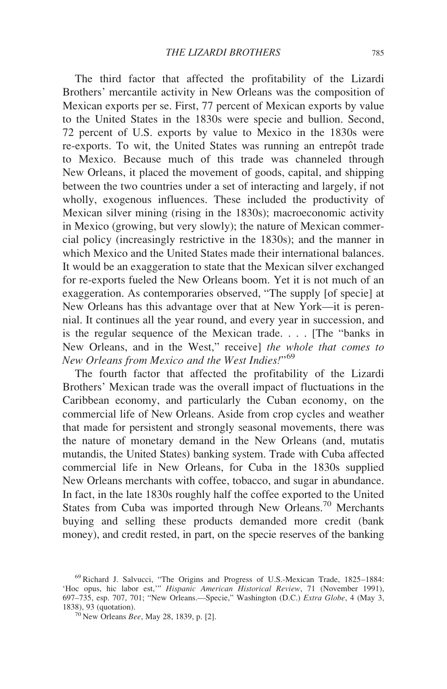The third factor that affected the profitability of the Lizardi Brothers' mercantile activity in New Orleans was the composition of Mexican exports per se. First, 77 percent of Mexican exports by value to the United States in the 1830s were specie and bullion. Second, 72 percent of U.S. exports by value to Mexico in the 1830s were re-exports. To wit, the United States was running an entrepôt trade to Mexico. Because much of this trade was channeled through New Orleans, it placed the movement of goods, capital, and shipping between the two countries under a set of interacting and largely, if not wholly, exogenous influences. These included the productivity of Mexican silver mining (rising in the 1830s); macroeconomic activity in Mexico (growing, but very slowly); the nature of Mexican commercial policy (increasingly restrictive in the 1830s); and the manner in which Mexico and the United States made their international balances. It would be an exaggeration to state that the Mexican silver exchanged for re-exports fueled the New Orleans boom. Yet it is not much of an exaggeration. As contemporaries observed, "The supply [of specie] at New Orleans has this advantage over that at New York—it is perennial. It continues all the year round, and every year in succession, and is the regular sequence of the Mexican trade. . . . [The "banks in New Orleans, and in the West," receive] the whole that comes to New Orleans from Mexico and the West Indies!"<sup>69</sup>

The fourth factor that affected the profitability of the Lizardi Brothers' Mexican trade was the overall impact of fluctuations in the Caribbean economy, and particularly the Cuban economy, on the commercial life of New Orleans. Aside from crop cycles and weather that made for persistent and strongly seasonal movements, there was the nature of monetary demand in the New Orleans (and, mutatis mutandis, the United States) banking system. Trade with Cuba affected commercial life in New Orleans, for Cuba in the 1830s supplied New Orleans merchants with coffee, tobacco, and sugar in abundance. In fact, in the late 1830s roughly half the coffee exported to the United States from Cuba was imported through New Orleans.<sup>70</sup> Merchants buying and selling these products demanded more credit (bank money), and credit rested, in part, on the specie reserves of the banking

<sup>69</sup> Richard J. Salvucci, "The Origins and Progress of U.S.-Mexican Trade, 1825–1884: 'Hoc opus, hic labor est,'" Hispanic American Historical Review, 71 (November 1991), 697–735, esp. 707, 701; "New Orleans.—Specie," Washington (D.C.) *Extra Globe*, 4 (May 3, 1838), 93 (quotation).

 $170$  New Orleans Bee, May 28, 1839, p. [2].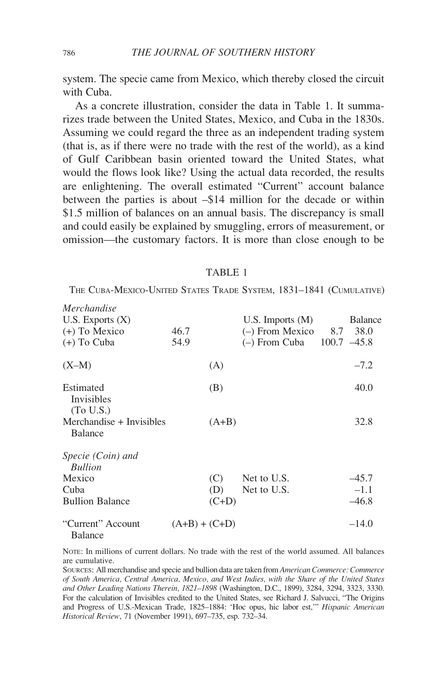system. The specie came from Mexico, which thereby closed the circuit with Cuba.

As a concrete illustration, consider the data in Table 1. It summarizes trade between the United States, Mexico, and Cuba in the 1830s. Assuming we could regard the three as an independent trading system (that is, as if there were no trade with the rest of the world), as a kind of Gulf Caribbean basin oriented toward the United States, what would the flows look like? Using the actual data recorded, the results are enlightening. The overall estimated "Current" account balance between the parties is about –\$14 million for the decade or within \$1.5 million of balances on an annual basis. The discrepancy is small and could easily be explained by smuggling, errors of measurement, or omission—the customary factors. It is more than close enough to be

### TABLE 1

THE CUBA-MEXICO-UNITED STATES TRADE SYSTEM, 1831–1841 (CUMULATIVE)

| Merchandise                                 |                 |         |                               |                |
|---------------------------------------------|-----------------|---------|-------------------------------|----------------|
| U.S. Exports $(X)$                          |                 |         | U.S. Imports $(M)$            | <b>Balance</b> |
| $(+)$ To Mexico                             | 46.7            |         | $(-)$ From Mexico 8.7         | 38.0           |
| $(+)$ To Cuba                               | 54.9            |         | $(-)$ From Cuba 100.7 $-45.8$ |                |
| $(X-M)$                                     |                 | (A)     |                               | $-7.2$         |
| Estimated<br><b>Invisibles</b><br>(To U.S.) |                 | (B)     |                               | 40.0           |
| Merchandise + Invisibles<br><b>Balance</b>  |                 | $(A+B)$ |                               | 32.8           |
| Specie (Coin) and<br><b>Bullion</b>         |                 |         |                               |                |
| Mexico                                      |                 | (C)     | Net to U.S.                   | $-45.7$        |
| Cuba                                        |                 | (D)     | Net to U.S.                   | $-1.1$         |
| <b>Bullion Balance</b>                      |                 | $(C+D)$ |                               | $-46.8$        |
| "Current" Account<br><b>Balance</b>         | $(A+B) + (C+D)$ |         |                               | $-14.0$        |

NOTE: In millions of current dollars. No trade with the rest of the world assumed. All balances are cumulative.

SOURCES: All merchandise and specie and bullion data are taken from American Commerce: Commerce of South America, Central America, Mexico, and West Indies, with the Share of the United States and Other Leading Nations Therein, 1821–1898 (Washington, D.C., 1899), 3284, 3294, 3323, 3330. For the calculation of Invisibles credited to the United States, see Richard J. Salvucci, "The Origins and Progress of U.S.-Mexican Trade, 1825–1884: 'Hoc opus, hic labor est,'" Hispanic American Historical Review, 71 (November 1991), 697–735, esp. 732–34.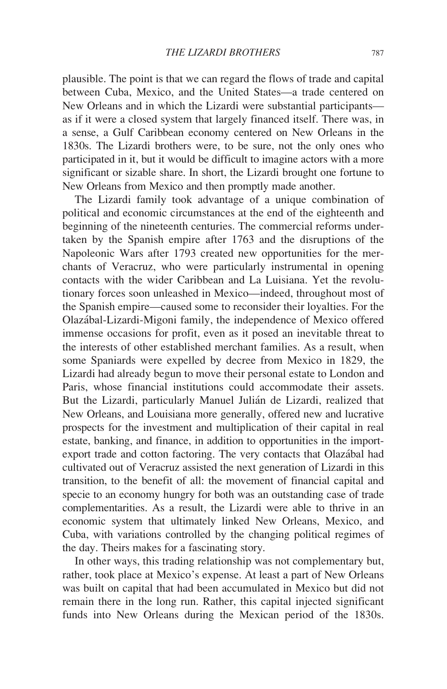plausible. The point is that we can regard the flows of trade and capital between Cuba, Mexico, and the United States—a trade centered on New Orleans and in which the Lizardi were substantial participants as if it were a closed system that largely financed itself. There was, in a sense, a Gulf Caribbean economy centered on New Orleans in the 1830s. The Lizardi brothers were, to be sure, not the only ones who participated in it, but it would be difficult to imagine actors with a more significant or sizable share. In short, the Lizardi brought one fortune to New Orleans from Mexico and then promptly made another.

The Lizardi family took advantage of a unique combination of political and economic circumstances at the end of the eighteenth and beginning of the nineteenth centuries. The commercial reforms undertaken by the Spanish empire after 1763 and the disruptions of the Napoleonic Wars after 1793 created new opportunities for the merchants of Veracruz, who were particularly instrumental in opening contacts with the wider Caribbean and La Luisiana. Yet the revolutionary forces soon unleashed in Mexico—indeed, throughout most of the Spanish empire—caused some to reconsider their loyalties. For the Olaza´bal-Lizardi-Migoni family, the independence of Mexico offered immense occasions for profit, even as it posed an inevitable threat to the interests of other established merchant families. As a result, when some Spaniards were expelled by decree from Mexico in 1829, the Lizardi had already begun to move their personal estate to London and Paris, whose financial institutions could accommodate their assets. But the Lizardi, particularly Manuel Julián de Lizardi, realized that New Orleans, and Louisiana more generally, offered new and lucrative prospects for the investment and multiplication of their capital in real estate, banking, and finance, in addition to opportunities in the importexport trade and cotton factoring. The very contacts that Olazábal had cultivated out of Veracruz assisted the next generation of Lizardi in this transition, to the benefit of all: the movement of financial capital and specie to an economy hungry for both was an outstanding case of trade complementarities. As a result, the Lizardi were able to thrive in an economic system that ultimately linked New Orleans, Mexico, and Cuba, with variations controlled by the changing political regimes of the day. Theirs makes for a fascinating story.

In other ways, this trading relationship was not complementary but, rather, took place at Mexico's expense. At least a part of New Orleans was built on capital that had been accumulated in Mexico but did not remain there in the long run. Rather, this capital injected significant funds into New Orleans during the Mexican period of the 1830s.